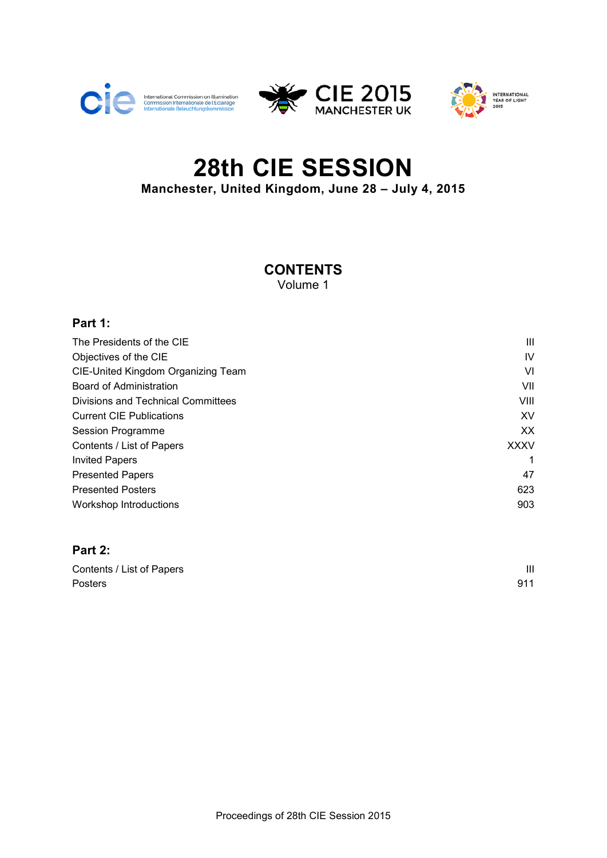





# **28th CIE SESSION Manchester, United Kingdom, June 28 – July 4, 2015**

# **CONTENTS**

Volume 1

#### **Part 1:**

| The Presidents of the CIE          | Ш           |
|------------------------------------|-------------|
| Objectives of the CIE              | IV          |
| CIE-United Kingdom Organizing Team | VI          |
| Board of Administration            | VII         |
| Divisions and Technical Committees | VIII        |
| <b>Current CIE Publications</b>    | XV          |
| Session Programme                  | XX.         |
| Contents / List of Papers          | <b>XXXV</b> |
| <b>Invited Papers</b>              |             |
| <b>Presented Papers</b>            | 47          |
| <b>Presented Posters</b>           | 623         |
| <b>Workshop Introductions</b>      | 903         |

#### **Part 2:**

| Contents / List of Papers |     |
|---------------------------|-----|
| <b>Posters</b>            | 911 |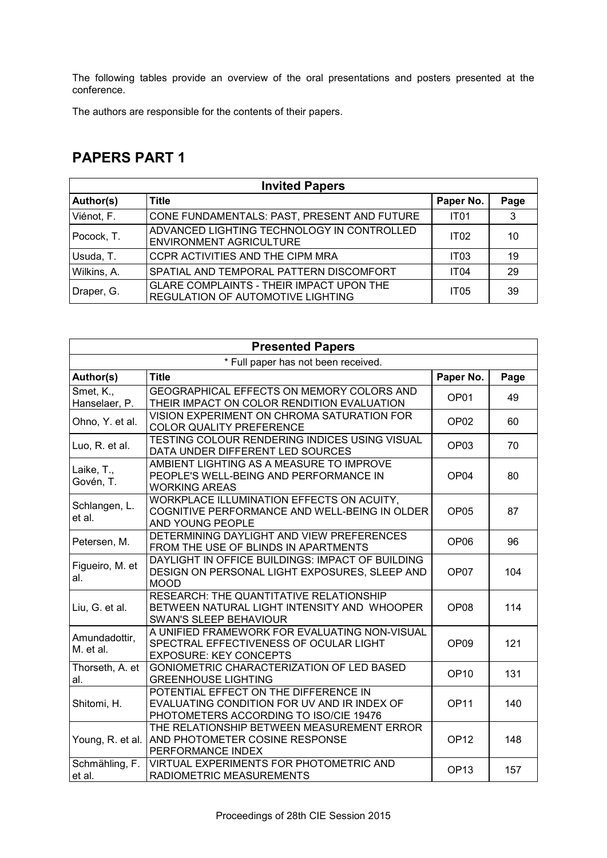The following tables provide an overview of the oral presentations and posters presented at the conference.

The authors are responsible for the contents of their papers.

### **PAPERS PART 1**

| <b>Invited Papers</b> |                                                                                      |                  |      |
|-----------------------|--------------------------------------------------------------------------------------|------------------|------|
| Author(s)             | <b>Title</b>                                                                         | Paper No.        | Page |
| Viénot, F.            | CONE FUNDAMENTALS: PAST, PRESENT AND FUTURE                                          | IT <sub>01</sub> | 3    |
| Pocock, T.            | ADVANCED LIGHTING TECHNOLOGY IN CONTROLLED<br>ENVIRONMENT AGRICULTURE                | IT02             | 10   |
| Usuda, T.             | CCPR ACTIVITIES AND THE CIPM MRA                                                     | <b>IT03</b>      | 19   |
| Wilkins, A.           | SPATIAL AND TEMPORAL PATTERN DISCOMFORT                                              | <b>IT04</b>      | 29   |
| Draper, G.            | <b>GLARE COMPLAINTS - THEIR IMPACT UPON THE</b><br>REGULATION OF AUTOMOTIVE LIGHTING | <b>IT05</b>      | 39   |

|                            | <b>Presented Papers</b>                                                                                                        |                  |      |  |
|----------------------------|--------------------------------------------------------------------------------------------------------------------------------|------------------|------|--|
|                            | * Full paper has not been received.                                                                                            |                  |      |  |
| Author(s)                  | <b>Title</b>                                                                                                                   | Paper No.        | Page |  |
| Smet, K.,<br>Hanselaer, P. | GEOGRAPHICAL EFFECTS ON MEMORY COLORS AND<br>THEIR IMPACT ON COLOR RENDITION EVALUATION                                        | OP <sub>01</sub> | 49   |  |
| Ohno, Y. et al.            | VISION EXPERIMENT ON CHROMA SATURATION FOR<br><b>COLOR QUALITY PREFERENCE</b>                                                  | OP <sub>02</sub> | 60   |  |
| Luo, R. et al.             | TESTING COLOUR RENDERING INDICES USING VISUAL<br>DATA UNDER DIFFERENT LED SOURCES                                              | OP <sub>03</sub> | 70   |  |
| Laike, T.,<br>Govén, T.    | AMBIENT LIGHTING AS A MEASURE TO IMPROVE<br>PEOPLE'S WELL-BEING AND PERFORMANCE IN<br><b>WORKING AREAS</b>                     | OP <sub>04</sub> | 80   |  |
| Schlangen, L.<br>et al.    | WORKPLACE ILLUMINATION EFFECTS ON ACUITY,<br>COGNITIVE PERFORMANCE AND WELL-BEING IN OLDER<br>AND YOUNG PEOPLE                 | OP <sub>05</sub> | 87   |  |
| Petersen, M.               | DETERMINING DAYLIGHT AND VIEW PREFERENCES<br>FROM THE USE OF BLINDS IN APARTMENTS                                              | OP <sub>06</sub> | 96   |  |
| Figueiro, M. et<br>al.     | DAYLIGHT IN OFFICE BUILDINGS: IMPACT OF BUILDING<br>DESIGN ON PERSONAL LIGHT EXPOSURES, SLEEP AND<br><b>MOOD</b>               | OP <sub>07</sub> | 104  |  |
| Liu, G. et al.             | RESEARCH: THE QUANTITATIVE RELATIONSHIP<br>BETWEEN NATURAL LIGHT INTENSITY AND WHOOPER<br><b>SWAN'S SLEEP BEHAVIOUR</b>        | OP <sub>08</sub> | 114  |  |
| Amundadottir,<br>M. et al. | A UNIFIED FRAMEWORK FOR EVALUATING NON-VISUAL<br>SPECTRAL EFFECTIVENESS OF OCULAR LIGHT<br><b>EXPOSURE: KEY CONCEPTS</b>       | OP <sub>09</sub> | 121  |  |
| Thorseth, A. et<br>al.     | GONIOMETRIC CHARACTERIZATION OF LED BASED<br><b>GREENHOUSE LIGHTING</b>                                                        | <b>OP10</b>      | 131  |  |
| Shitomi, H.                | POTENTIAL EFFECT ON THE DIFFERENCE IN<br>EVALUATING CONDITION FOR UV AND IR INDEX OF<br>PHOTOMETERS ACCORDING TO ISO/CIE 19476 | <b>OP11</b>      | 140  |  |
| Young, R. et al.           | THE RELATIONSHIP BETWEEN MEASUREMENT ERROR<br>AND PHOTOMETER COSINE RESPONSE<br>PERFORMANCE INDEX                              | <b>OP12</b>      | 148  |  |
| Schmähling, F.<br>et al.   | VIRTUAL EXPERIMENTS FOR PHOTOMETRIC AND<br>RADIOMETRIC MEASUREMENTS                                                            | OP <sub>13</sub> | 157  |  |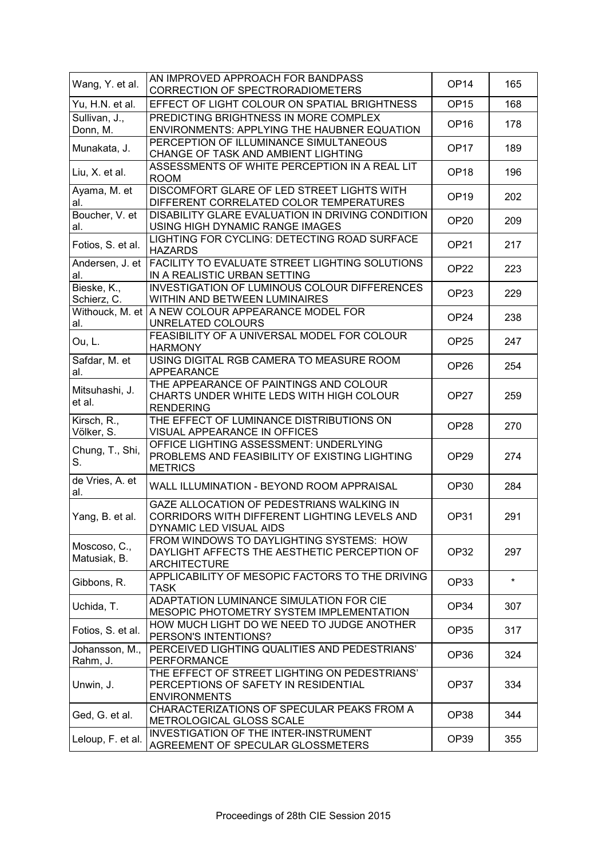| Wang, Y. et al.              | AN IMPROVED APPROACH FOR BANDPASS<br>CORRECTION OF SPECTRORADIOMETERS                                                | OP <sub>14</sub> | 165     |
|------------------------------|----------------------------------------------------------------------------------------------------------------------|------------------|---------|
| Yu, H.N. et al.              | EFFECT OF LIGHT COLOUR ON SPATIAL BRIGHTNESS                                                                         | OP <sub>15</sub> | 168     |
| Sullivan, J.,<br>Donn, M.    | PREDICTING BRIGHTNESS IN MORE COMPLEX<br>ENVIRONMENTS: APPLYING THE HAUBNER EQUATION                                 | OP <sub>16</sub> | 178     |
| Munakata, J.                 | PERCEPTION OF ILLUMINANCE SIMULTANEOUS<br>CHANGE OF TASK AND AMBIENT LIGHTING                                        | OP <sub>17</sub> | 189     |
| Liu, X. et al.               | ASSESSMENTS OF WHITE PERCEPTION IN A REAL LIT<br><b>ROOM</b>                                                         | OP <sub>18</sub> | 196     |
| Ayama, M. et<br>al.          | DISCOMFORT GLARE OF LED STREET LIGHTS WITH<br>DIFFERENT CORRELATED COLOR TEMPERATURES                                | OP <sub>19</sub> | 202     |
| Boucher, V. et<br>al.        | DISABILITY GLARE EVALUATION IN DRIVING CONDITION<br>USING HIGH DYNAMIC RANGE IMAGES                                  | OP <sub>20</sub> | 209     |
| Fotios, S. et al.            | LIGHTING FOR CYCLING: DETECTING ROAD SURFACE<br><b>HAZARDS</b>                                                       | OP <sub>21</sub> | 217     |
| Andersen, J. et<br>al.       | FACILITY TO EVALUATE STREET LIGHTING SOLUTIONS<br>IN A REALISTIC URBAN SETTING                                       | OP <sub>22</sub> | 223     |
| Bieske, K.,<br>Schierz, C.   | INVESTIGATION OF LUMINOUS COLOUR DIFFERENCES<br>WITHIN AND BETWEEN LUMINAIRES                                        | OP <sub>23</sub> | 229     |
| al.                          | Withouck, M. et   A NEW COLOUR APPEARANCE MODEL FOR<br>UNRELATED COLOURS                                             | OP <sub>24</sub> | 238     |
| Ou, L.                       | FEASIBILITY OF A UNIVERSAL MODEL FOR COLOUR<br><b>HARMONY</b>                                                        | OP <sub>25</sub> | 247     |
| Safdar, M. et<br>al.         | USING DIGITAL RGB CAMERA TO MEASURE ROOM<br><b>APPEARANCE</b>                                                        | OP <sub>26</sub> | 254     |
| Mitsuhashi, J.<br>et al.     | THE APPEARANCE OF PAINTINGS AND COLOUR<br>CHARTS UNDER WHITE LEDS WITH HIGH COLOUR<br><b>RENDERING</b>               | OP <sub>27</sub> | 259     |
| Kirsch, R.,<br>Völker, S.    | THE EFFECT OF LUMINANCE DISTRIBUTIONS ON<br>VISUAL APPEARANCE IN OFFICES                                             | OP <sub>28</sub> | 270     |
| Chung, T., Shi,<br>S.        | OFFICE LIGHTING ASSESSMENT: UNDERLYING<br>PROBLEMS AND FEASIBILITY OF EXISTING LIGHTING<br><b>METRICS</b>            | OP <sub>29</sub> | 274     |
| de Vries, A. et<br>al.       | WALL ILLUMINATION - BEYOND ROOM APPRAISAL                                                                            | <b>OP30</b>      | 284     |
| Yang, B. et al.              | GAZE ALLOCATION OF PEDESTRIANS WALKING IN<br>CORRIDORS WITH DIFFERENT LIGHTING LEVELS AND<br>DYNAMIC LED VISUAL AIDS | OP31             | 291     |
| Moscoso, C.,<br>Matusiak, B. | FROM WINDOWS TO DAYLIGHTING SYSTEMS: HOW<br>DAYLIGHT AFFECTS THE AESTHETIC PERCEPTION OF<br><b>ARCHITECTURE</b>      | OP32             | 297     |
| Gibbons, R.                  | APPLICABILITY OF MESOPIC FACTORS TO THE DRIVING<br><b>TASK</b>                                                       | OP33             | $\star$ |
| Uchida, T.                   | ADAPTATION LUMINANCE SIMULATION FOR CIE<br>MESOPIC PHOTOMETRY SYSTEM IMPLEMENTATION                                  | OP34             | 307     |
| Fotios, S. et al.            | HOW MUCH LIGHT DO WE NEED TO JUDGE ANOTHER<br>PERSON'S INTENTIONS?                                                   | OP35             | 317     |
| Johansson, M.,<br>Rahm, J.   | PERCEIVED LIGHTING QUALITIES AND PEDESTRIANS'<br><b>PERFORMANCE</b>                                                  | OP36             | 324     |
| Unwin, J.                    | THE EFFECT OF STREET LIGHTING ON PEDESTRIANS'<br>PERCEPTIONS OF SAFETY IN RESIDENTIAL<br><b>ENVIRONMENTS</b>         | OP37             | 334     |
| Ged, G. et al.               | CHARACTERIZATIONS OF SPECULAR PEAKS FROM A<br>METROLOGICAL GLOSS SCALE                                               | OP38             | 344     |
| Leloup, F. et al.            | INVESTIGATION OF THE INTER-INSTRUMENT<br>AGREEMENT OF SPECULAR GLOSSMETERS                                           | OP39             | 355     |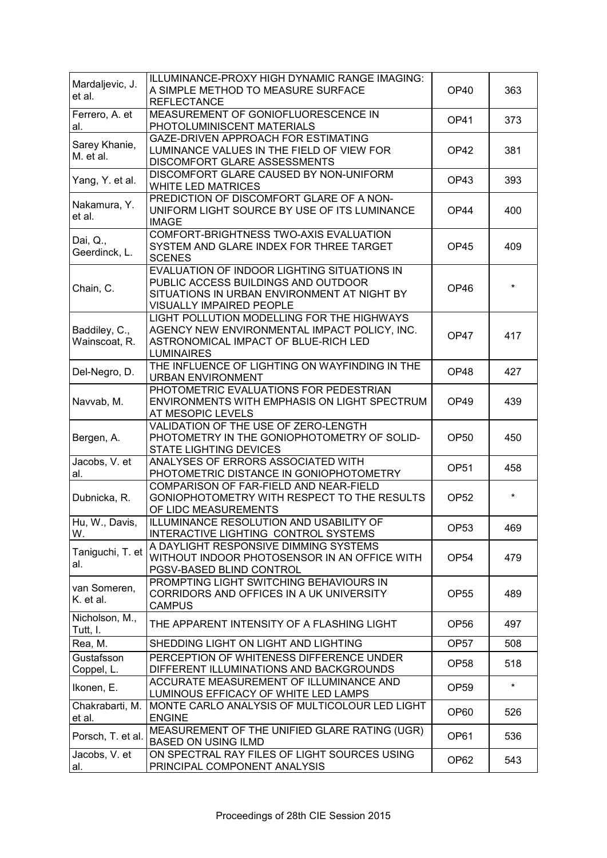| Mardaljevic, J.<br>et al.      | ILLUMINANCE-PROXY HIGH DYNAMIC RANGE IMAGING:<br>A SIMPLE METHOD TO MEASURE SURFACE<br><b>REFLECTANCE</b>                                                            | OP <sub>40</sub> | 363     |
|--------------------------------|----------------------------------------------------------------------------------------------------------------------------------------------------------------------|------------------|---------|
| Ferrero, A. et<br>al.          | MEASUREMENT OF GONIOFLUORESCENCE IN<br>PHOTOLUMINISCENT MATERIALS                                                                                                    | OP41             | 373     |
| Sarey Khanie,<br>M. et al.     | GAZE-DRIVEN APPROACH FOR ESTIMATING<br>LUMINANCE VALUES IN THE FIELD OF VIEW FOR<br>DISCOMFORT GLARE ASSESSMENTS                                                     | OP42             | 381     |
| Yang, Y. et al.                | DISCOMFORT GLARE CAUSED BY NON-UNIFORM<br><b>WHITE LED MATRICES</b>                                                                                                  | OP43             | 393     |
| Nakamura, Y.<br>et al.         | PREDICTION OF DISCOMFORT GLARE OF A NON-<br>UNIFORM LIGHT SOURCE BY USE OF ITS LUMINANCE<br><b>IMAGE</b>                                                             | OP44             | 400     |
| Dai, Q.,<br>Geerdinck, L.      | COMFORT-BRIGHTNESS TWO-AXIS EVALUATION<br>SYSTEM AND GLARE INDEX FOR THREE TARGET<br><b>SCENES</b>                                                                   | OP45             | 409     |
| Chain, C.                      | EVALUATION OF INDOOR LIGHTING SITUATIONS IN<br>PUBLIC ACCESS BUILDINGS AND OUTDOOR<br>SITUATIONS IN URBAN ENVIRONMENT AT NIGHT BY<br><b>VISUALLY IMPAIRED PEOPLE</b> | OP46             |         |
| Baddiley, C.,<br>Wainscoat, R. | LIGHT POLLUTION MODELLING FOR THE HIGHWAYS<br>AGENCY NEW ENVIRONMENTAL IMPACT POLICY, INC.<br>ASTRONOMICAL IMPACT OF BLUE-RICH LED<br><b>LUMINAIRES</b>              | OP47             | 417     |
| Del-Negro, D.                  | THE INFLUENCE OF LIGHTING ON WAYFINDING IN THE<br><b>URBAN ENVIRONMENT</b>                                                                                           | OP48             | 427     |
| Navvab, M.                     | PHOTOMETRIC EVALUATIONS FOR PEDESTRIAN<br>ENVIRONMENTS WITH EMPHASIS ON LIGHT SPECTRUM<br>AT MESOPIC LEVELS                                                          | OP49             | 439     |
| Bergen, A.                     | VALIDATION OF THE USE OF ZERO-LENGTH<br>PHOTOMETRY IN THE GONIOPHOTOMETRY OF SOLID-<br><b>STATE LIGHTING DEVICES</b>                                                 | <b>OP50</b>      | 450     |
| Jacobs, V. et<br>al.           | ANALYSES OF ERRORS ASSOCIATED WITH<br>PHOTOMETRIC DISTANCE IN GONIOPHOTOMETRY                                                                                        | <b>OP51</b>      | 458     |
| Dubnicka, R.                   | COMPARISON OF FAR-FIELD AND NEAR-FIELD<br>GONIOPHOTOMETRY WITH RESPECT TO THE RESULTS<br>OF LIDC MEASUREMENTS                                                        | OP <sub>52</sub> | $\star$ |
| Hu, W., Davis,<br>W.           | ILLUMINANCE RESOLUTION AND USABILITY OF<br>INTERACTIVE LIGHTING CONTROL SYSTEMS                                                                                      | OP <sub>53</sub> | 469     |
| Taniguchi, T. et<br>al.        | A DAYLIGHT RESPONSIVE DIMMING SYSTEMS<br>WITHOUT INDOOR PHOTOSENSOR IN AN OFFICE WITH<br>PGSV-BASED BLIND CONTROL                                                    | OP <sub>54</sub> | 479     |
| van Someren,<br>K. et al.      | PROMPTING LIGHT SWITCHING BEHAVIOURS IN<br>CORRIDORS AND OFFICES IN A UK UNIVERSITY<br><b>CAMPUS</b>                                                                 | OP <sub>55</sub> | 489     |
| Nicholson, M.,<br>Tutt, I.     | THE APPARENT INTENSITY OF A FLASHING LIGHT                                                                                                                           | OP <sub>56</sub> | 497     |
| Rea, M.                        | SHEDDING LIGHT ON LIGHT AND LIGHTING                                                                                                                                 | OP <sub>57</sub> | 508     |
| Gustafsson<br>Coppel, L.       | PERCEPTION OF WHITENESS DIFFERENCE UNDER<br>DIFFERENT ILLUMINATIONS AND BACKGROUNDS                                                                                  | OP <sub>58</sub> | 518     |
| Ikonen, E.                     | ACCURATE MEASUREMENT OF ILLUMINANCE AND<br>LUMINOUS EFFICACY OF WHITE LED LAMPS                                                                                      | OP <sub>59</sub> | $\star$ |
| Chakrabarti, M.<br>et al.      | MONTE CARLO ANALYSIS OF MULTICOLOUR LED LIGHT<br><b>ENGINE</b>                                                                                                       | OP60             | 526     |
| Porsch, T. et al.              | MEASUREMENT OF THE UNIFIED GLARE RATING (UGR)<br><b>BASED ON USING ILMD</b>                                                                                          | OP61             | 536     |
| Jacobs, V. et<br>al.           | ON SPECTRAL RAY FILES OF LIGHT SOURCES USING<br>PRINCIPAL COMPONENT ANALYSIS                                                                                         | OP <sub>62</sub> | 543     |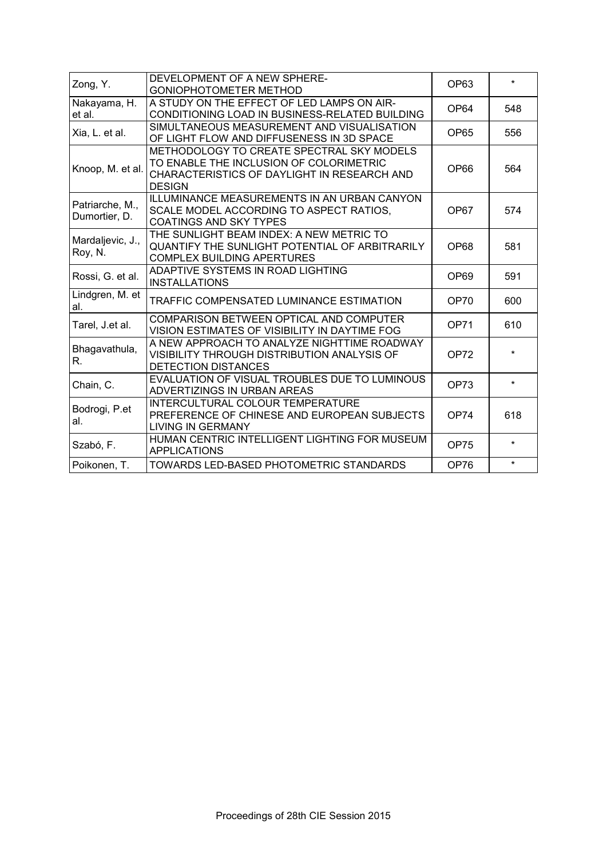| Zong, Y.                         | DEVELOPMENT OF A NEW SPHERE-<br><b>GONIOPHOTOMETER METHOD</b>                                                                                        | OP63             | $\star$ |
|----------------------------------|------------------------------------------------------------------------------------------------------------------------------------------------------|------------------|---------|
| Nakayama, H.<br>et al.           | A STUDY ON THE EFFECT OF LED LAMPS ON AIR-<br>CONDITIONING LOAD IN BUSINESS-RELATED BUILDING                                                         | OP <sub>64</sub> | 548     |
| Xia, L. et al.                   | SIMULTANEOUS MEASUREMENT AND VISUALISATION<br>OF LIGHT FLOW AND DIFFUSENESS IN 3D SPACE                                                              | <b>OP65</b>      | 556     |
| Knoop, M. et al.                 | METHODOLOGY TO CREATE SPECTRAL SKY MODELS<br>TO ENABLE THE INCLUSION OF COLORIMETRIC<br>CHARACTERISTICS OF DAYLIGHT IN RESEARCH AND<br><b>DESIGN</b> | OP66             | 564     |
| Patriarche, M.,<br>Dumortier, D. | <b>ILLUMINANCE MEASUREMENTS IN AN URBAN CANYON</b><br>SCALE MODEL ACCORDING TO ASPECT RATIOS,<br><b>COATINGS AND SKY TYPES</b>                       | OP67             | 574     |
| Mardaljevic, J.,<br>Roy, N.      | THE SUNLIGHT BEAM INDEX: A NEW METRIC TO<br>QUANTIFY THE SUNLIGHT POTENTIAL OF ARBITRARILY<br><b>COMPLEX BUILDING APERTURES</b>                      | OP68             | 581     |
| Rossi, G. et al.                 | ADAPTIVE SYSTEMS IN ROAD LIGHTING<br><b>INSTALLATIONS</b>                                                                                            | OP <sub>69</sub> | 591     |
| Lindgren, M. et<br>al.           | TRAFFIC COMPENSATED LUMINANCE ESTIMATION                                                                                                             | <b>OP70</b>      | 600     |
| Tarel, J.et al.                  | COMPARISON BETWEEN OPTICAL AND COMPUTER<br>VISION ESTIMATES OF VISIBILITY IN DAYTIME FOG                                                             | OP71             | 610     |
| Bhagavathula,<br>R.              | A NEW APPROACH TO ANALYZE NIGHTTIME ROADWAY<br>VISIBILITY THROUGH DISTRIBUTION ANALYSIS OF<br>DETECTION DISTANCES                                    | <b>OP72</b>      |         |
| Chain, C.                        | EVALUATION OF VISUAL TROUBLES DUE TO LUMINOUS<br>ADVERTIZINGS IN URBAN AREAS                                                                         | OP73             | $\star$ |
| Bodrogi, P.et<br>al.             | INTERCULTURAL COLOUR TEMPERATURE<br>PREFERENCE OF CHINESE AND EUROPEAN SUBJECTS<br><b>LIVING IN GERMANY</b>                                          | <b>OP74</b>      | 618     |
| Szabó, F.                        | HUMAN CENTRIC INTELLIGENT LIGHTING FOR MUSEUM<br><b>APPLICATIONS</b>                                                                                 | <b>OP75</b>      | $\star$ |
| Poikonen, T.                     | TOWARDS LED-BASED PHOTOMETRIC STANDARDS                                                                                                              | OP76             | $\star$ |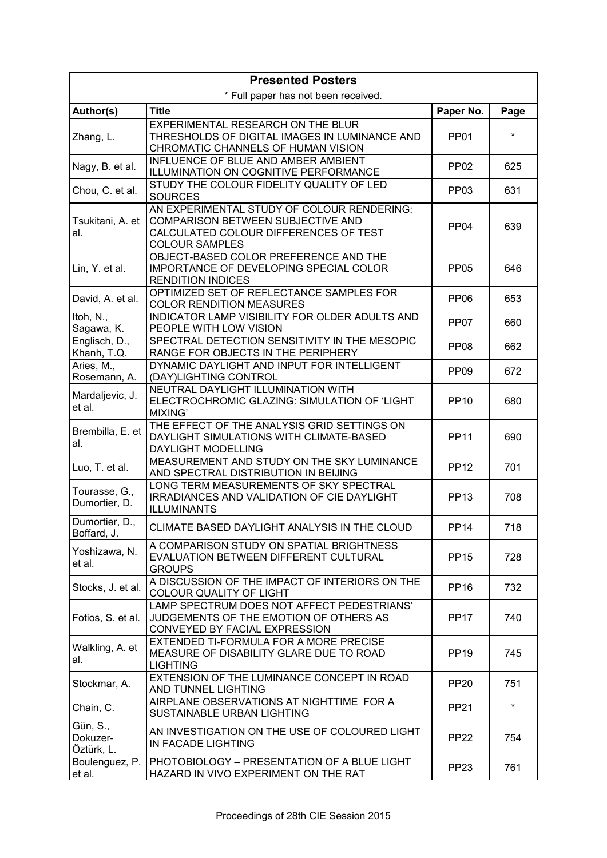| <b>Presented Posters</b>            |                                                                                                                                                          |                  |         |
|-------------------------------------|----------------------------------------------------------------------------------------------------------------------------------------------------------|------------------|---------|
| * Full paper has not been received. |                                                                                                                                                          |                  |         |
| Author(s)                           | <b>Title</b>                                                                                                                                             | Paper No.        | Page    |
| Zhang, L.                           | <b>EXPERIMENTAL RESEARCH ON THE BLUR</b><br>THRESHOLDS OF DIGITAL IMAGES IN LUMINANCE AND<br>CHROMATIC CHANNELS OF HUMAN VISION                          | <b>PP01</b>      | $\star$ |
| Nagy, B. et al.                     | INFLUENCE OF BLUE AND AMBER AMBIENT<br>ILLUMINATION ON COGNITIVE PERFORMANCE                                                                             | <b>PP02</b>      | 625     |
| Chou, C. et al.                     | STUDY THE COLOUR FIDELITY QUALITY OF LED<br><b>SOURCES</b>                                                                                               | <b>PP03</b>      | 631     |
| Tsukitani, A. et<br>al.             | AN EXPERIMENTAL STUDY OF COLOUR RENDERING:<br><b>COMPARISON BETWEEN SUBJECTIVE AND</b><br>CALCULATED COLOUR DIFFERENCES OF TEST<br><b>COLOUR SAMPLES</b> | <b>PP04</b>      | 639     |
| Lin, Y. et al.                      | OBJECT-BASED COLOR PREFERENCE AND THE<br>IMPORTANCE OF DEVELOPING SPECIAL COLOR<br><b>RENDITION INDICES</b>                                              | <b>PP05</b>      | 646     |
| David, A. et al.                    | OPTIMIZED SET OF REFLECTANCE SAMPLES FOR<br><b>COLOR RENDITION MEASURES</b>                                                                              | <b>PP06</b>      | 653     |
| Itoh, N.,<br>Sagawa, K.             | INDICATOR LAMP VISIBILITY FOR OLDER ADULTS AND<br>PEOPLE WITH LOW VISION                                                                                 | PP <sub>07</sub> | 660     |
| Englisch, D.,<br>Khanh, T.Q.        | SPECTRAL DETECTION SENSITIVITY IN THE MESOPIC<br>RANGE FOR OBJECTS IN THE PERIPHERY                                                                      | <b>PP08</b>      | 662     |
| Aries, M.,<br>Rosemann, A.          | DYNAMIC DAYLIGHT AND INPUT FOR INTELLIGENT<br>(DAY)LIGHTING CONTROL                                                                                      | PP <sub>09</sub> | 672     |
| Mardaljevic, J.<br>et al.           | NEUTRAL DAYLIGHT ILLUMINATION WITH<br>ELECTROCHROMIC GLAZING: SIMULATION OF 'LIGHT<br>MIXING'                                                            | <b>PP10</b>      | 680     |
| Brembilla, E. et<br>al.             | THE EFFECT OF THE ANALYSIS GRID SETTINGS ON<br>DAYLIGHT SIMULATIONS WITH CLIMATE-BASED<br><b>DAYLIGHT MODELLING</b>                                      | <b>PP11</b>      | 690     |
| Luo, T. et al.                      | MEASUREMENT AND STUDY ON THE SKY LUMINANCE<br>AND SPECTRAL DISTRIBUTION IN BEIJING                                                                       | <b>PP12</b>      | 701     |
| Tourasse, G.,<br>Dumortier, D.      | LONG TERM MEASUREMENTS OF SKY SPECTRAL<br><b>IRRADIANCES AND VALIDATION OF CIE DAYLIGHT</b><br><b>ILLUMINANTS</b>                                        | <b>PP13</b>      | 708     |
| Dumortier, D.,<br>Boffard, J.       | CLIMATE BASED DAYLIGHT ANALYSIS IN THE CLOUD                                                                                                             | <b>PP14</b>      | 718     |
| Yoshizawa, N.<br>et al.             | A COMPARISON STUDY ON SPATIAL BRIGHTNESS<br>EVALUATION BETWEEN DIFFERENT CULTURAL<br><b>GROUPS</b>                                                       | <b>PP15</b>      | 728     |
| Stocks, J. et al.                   | A DISCUSSION OF THE IMPACT OF INTERIORS ON THE<br>COLOUR QUALITY OF LIGHT                                                                                | <b>PP16</b>      | 732     |
| Fotios, S. et al.                   | LAMP SPECTRUM DOES NOT AFFECT PEDESTRIANS'<br>JUDGEMENTS OF THE EMOTION OF OTHERS AS<br>CONVEYED BY FACIAL EXPRESSION                                    | <b>PP17</b>      | 740     |
| Walkling, A. et<br>al.              | EXTENDED TI-FORMULA FOR A MORE PRECISE<br>MEASURE OF DISABILITY GLARE DUE TO ROAD<br><b>LIGHTING</b>                                                     | <b>PP19</b>      | 745     |
| Stockmar, A.                        | EXTENSION OF THE LUMINANCE CONCEPT IN ROAD<br>AND TUNNEL LIGHTING                                                                                        | <b>PP20</b>      | 751     |
| Chain, C.                           | AIRPLANE OBSERVATIONS AT NIGHTTIME FOR A<br>SUSTAINABLE URBAN LIGHTING                                                                                   | <b>PP21</b>      | $\star$ |
| Gün, S.,<br>Dokuzer-<br>Öztürk, L.  | AN INVESTIGATION ON THE USE OF COLOURED LIGHT<br>IN FACADE LIGHTING                                                                                      | <b>PP22</b>      | 754     |
| Boulenguez, P.<br>et al.            | PHOTOBIOLOGY - PRESENTATION OF A BLUE LIGHT<br>HAZARD IN VIVO EXPERIMENT ON THE RAT                                                                      | <b>PP23</b>      | 761     |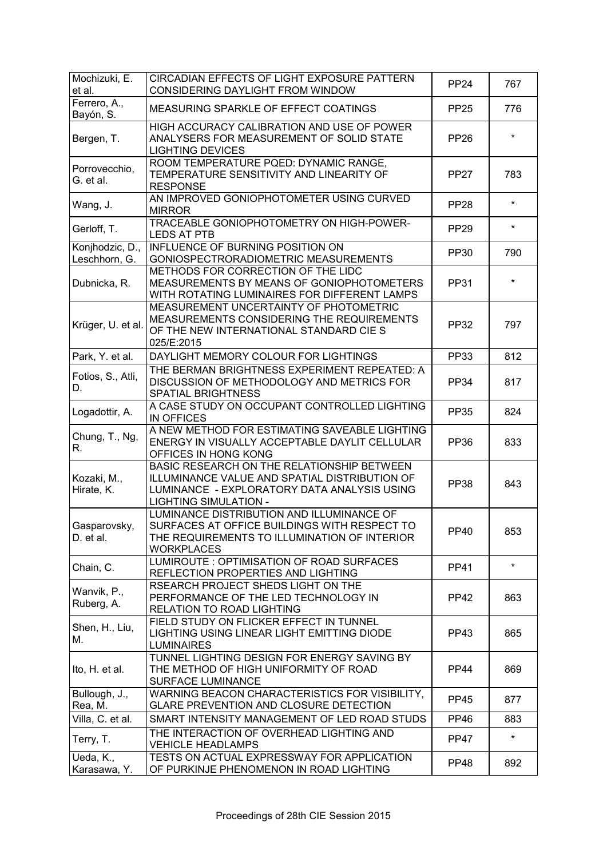| Mochizuki, E.<br>et al.          | CIRCADIAN EFFECTS OF LIGHT EXPOSURE PATTERN<br>CONSIDERING DAYLIGHT FROM WINDOW                                                                                            | <b>PP24</b> | 767     |
|----------------------------------|----------------------------------------------------------------------------------------------------------------------------------------------------------------------------|-------------|---------|
| Ferrero, A.,<br>Bayón, S.        | MEASURING SPARKLE OF EFFECT COATINGS                                                                                                                                       | <b>PP25</b> | 776     |
| Bergen, T.                       | HIGH ACCURACY CALIBRATION AND USE OF POWER<br>ANALYSERS FOR MEASUREMENT OF SOLID STATE<br><b>LIGHTING DEVICES</b>                                                          | <b>PP26</b> | $\star$ |
| Porrovecchio,<br>G. et al.       | ROOM TEMPERATURE PQED: DYNAMIC RANGE,<br>TEMPERATURE SENSITIVITY AND LINEARITY OF<br><b>RESPONSE</b>                                                                       | <b>PP27</b> | 783     |
| Wang, J.                         | AN IMPROVED GONIOPHOTOMETER USING CURVED<br><b>MIRROR</b>                                                                                                                  | <b>PP28</b> | $\star$ |
| Gerloff, T.                      | TRACEABLE GONIOPHOTOMETRY ON HIGH-POWER-<br><b>LEDS AT PTB</b>                                                                                                             | <b>PP29</b> | $\star$ |
| Konjhodzic, D.,<br>Leschhorn, G. | INFLUENCE OF BURNING POSITION ON<br>GONIOSPECTRORADIOMETRIC MEASUREMENTS                                                                                                   | PP30        | 790     |
| Dubnicka, R.                     | METHODS FOR CORRECTION OF THE LIDC<br>MEASUREMENTS BY MEANS OF GONIOPHOTOMETERS<br>WITH ROTATING LUMINAIRES FOR DIFFERENT LAMPS                                            | <b>PP31</b> | $\star$ |
| Krüger, U. et al.                | MEASUREMENT UNCERTAINTY OF PHOTOMETRIC<br>MEASUREMENTS CONSIDERING THE REQUIREMENTS<br>OF THE NEW INTERNATIONAL STANDARD CIE S<br>025/E:2015                               | <b>PP32</b> | 797     |
| Park, Y. et al.                  | DAYLIGHT MEMORY COLOUR FOR LIGHTINGS                                                                                                                                       | <b>PP33</b> | 812     |
| Fotios, S., Atli,<br>D.          | THE BERMAN BRIGHTNESS EXPERIMENT REPEATED: A<br>DISCUSSION OF METHODOLOGY AND METRICS FOR<br>SPATIAL BRIGHTNESS                                                            | <b>PP34</b> | 817     |
| Logadottir, A.                   | A CASE STUDY ON OCCUPANT CONTROLLED LIGHTING<br>IN OFFICES                                                                                                                 | <b>PP35</b> | 824     |
| Chung, T., Ng,<br>R.             | A NEW METHOD FOR ESTIMATING SAVEABLE LIGHTING<br>ENERGY IN VISUALLY ACCEPTABLE DAYLIT CELLULAR<br>OFFICES IN HONG KONG                                                     | <b>PP36</b> | 833     |
| Kozaki, M.,<br>Hirate, K.        | BASIC RESEARCH ON THE RELATIONSHIP BETWEEN<br>ILLUMINANCE VALUE AND SPATIAL DISTRIBUTION OF<br>LUMINANCE - EXPLORATORY DATA ANALYSIS USING<br><b>LIGHTING SIMULATION -</b> | <b>PP38</b> | 843     |
| Gasparovsky,<br>D. et al.        | LUMINANCE DISTRIBUTION AND ILLUMINANCE OF<br>SURFACES AT OFFICE BUILDINGS WITH RESPECT TO<br>THE REQUIREMENTS TO ILLUMINATION OF INTERIOR<br><b>WORKPLACES</b>             | PP40        | 853     |
| Chain, C.                        | LUMIROUTE : OPTIMISATION OF ROAD SURFACES<br>REFLECTION PROPERTIES AND LIGHTING                                                                                            | <b>PP41</b> | $\star$ |
| Wanvik, P.,<br>Ruberg, A.        | RSEARCH PROJECT SHEDS LIGHT ON THE<br>PERFORMANCE OF THE LED TECHNOLOGY IN<br>RELATION TO ROAD LIGHTING                                                                    | <b>PP42</b> | 863     |
| Shen, H., Liu,<br>М.             | FIELD STUDY ON FLICKER EFFECT IN TUNNEL<br>LIGHTING USING LINEAR LIGHT EMITTING DIODE<br><b>LUMINAIRES</b>                                                                 | <b>PP43</b> | 865     |
| Ito, H. et al.                   | TUNNEL LIGHTING DESIGN FOR ENERGY SAVING BY<br>THE METHOD OF HIGH UNIFORMITY OF ROAD<br><b>SURFACE LUMINANCE</b>                                                           | <b>PP44</b> | 869     |
| Bullough, J.,<br>Rea, M.         | WARNING BEACON CHARACTERISTICS FOR VISIBILITY,<br>GLARE PREVENTION AND CLOSURE DETECTION                                                                                   | <b>PP45</b> | 877     |
| Villa, C. et al.                 | SMART INTENSITY MANAGEMENT OF LED ROAD STUDS                                                                                                                               | <b>PP46</b> | 883     |
| Terry, T.                        | THE INTERACTION OF OVERHEAD LIGHTING AND<br><b>VEHICLE HEADLAMPS</b>                                                                                                       | <b>PP47</b> | $\star$ |
| Ueda, K.,<br>Karasawa, Y.        | TESTS ON ACTUAL EXPRESSWAY FOR APPLICATION<br>OF PURKINJE PHENOMENON IN ROAD LIGHTING                                                                                      | <b>PP48</b> | 892     |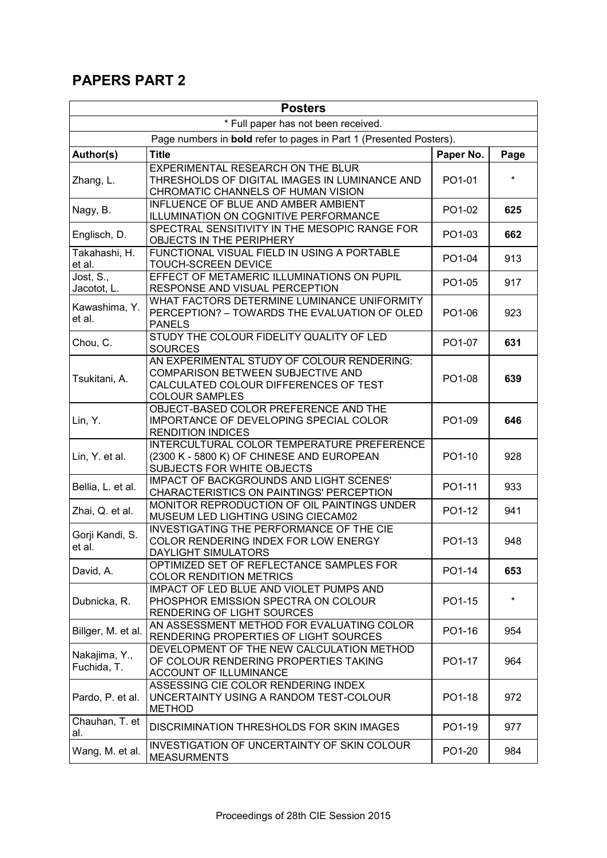## **PAPERS PART 2**

| * Full paper has not been received.<br>Page numbers in <b>bold</b> refer to pages in Part 1 (Presented Posters).<br>Author(s)<br><b>Title</b><br>Paper No.<br>Page<br>EXPERIMENTAL RESEARCH ON THE BLUR<br>THRESHOLDS OF DIGITAL IMAGES IN LUMINANCE AND<br>PO1-01<br>Zhang, L.<br>CHROMATIC CHANNELS OF HUMAN VISION<br>INFLUENCE OF BLUE AND AMBER AMBIENT<br>PO1-02<br>625<br>Nagy, B.<br>ILLUMINATION ON COGNITIVE PERFORMANCE<br>SPECTRAL SENSITIVITY IN THE MESOPIC RANGE FOR<br>Englisch, D.<br>PO1-03<br>662<br>OBJECTS IN THE PERIPHERY<br>FUNCTIONAL VISUAL FIELD IN USING A PORTABLE<br>Takahashi, H.<br>PO1-04<br>913<br><b>TOUCH-SCREEN DEVICE</b><br>et al.<br>EFFECT OF METAMERIC ILLUMINATIONS ON PUPIL<br>Jost, S.,<br>PO1-05<br>917<br>Jacotot, L.<br>RESPONSE AND VISUAL PERCEPTION<br>WHAT FACTORS DETERMINE LUMINANCE UNIFORMITY<br>Kawashima, Y.<br>PERCEPTION? - TOWARDS THE EVALUATION OF OLED<br>PO1-06<br>923<br>et al.<br><b>PANELS</b><br>STUDY THE COLOUR FIDELITY QUALITY OF LED<br>Chou, C.<br>PO1-07<br>631<br><b>SOURCES</b><br>AN EXPERIMENTAL STUDY OF COLOUR RENDERING:<br>COMPARISON BETWEEN SUBJECTIVE AND<br>PO1-08<br>639<br>Tsukitani, A.<br>CALCULATED COLOUR DIFFERENCES OF TEST<br><b>COLOUR SAMPLES</b><br>OBJECT-BASED COLOR PREFERENCE AND THE<br>Lin, Y.<br>IMPORTANCE OF DEVELOPING SPECIAL COLOR<br>PO1-09<br>646<br><b>RENDITION INDICES</b><br>INTERCULTURAL COLOR TEMPERATURE PREFERENCE<br>(2300 K - 5800 K) OF CHINESE AND EUROPEAN<br>Lin, Y. et al.<br>PO1-10<br>928<br>SUBJECTS FOR WHITE OBJECTS<br>IMPACT OF BACKGROUNDS AND LIGHT SCENES'<br>Bellia, L. et al.<br>PO1-11<br>933<br>CHARACTERISTICS ON PAINTINGS' PERCEPTION<br>MONITOR REPRODUCTION OF OIL PAINTINGS UNDER<br>PO1-12<br>941<br>Zhai, Q. et al.<br>MUSEUM LED LIGHTING USING CIECAM02<br><b>INVESTIGATING THE PERFORMANCE OF THE CIE</b><br>Gorji Kandi, S.<br>PO1-13<br>COLOR RENDERING INDEX FOR LOW ENERGY<br>948<br>et al.<br>DAYLIGHT SIMULATORS<br>OPTIMIZED SET OF REFLECTANCE SAMPLES FOR<br>PO1-14<br>653<br>David, A.<br><b>COLOR RENDITION METRICS</b><br>IMPACT OF LED BLUE AND VIOLET PUMPS AND<br>$\star$<br>PHOSPHOR EMISSION SPECTRA ON COLOUR<br>PO1-15<br>Dubnicka, R.<br>RENDERING OF LIGHT SOURCES<br>AN ASSESSMENT METHOD FOR EVALUATING COLOR<br>Billger, M. et al.<br>PO1-16<br>954<br>RENDERING PROPERTIES OF LIGHT SOURCES<br>DEVELOPMENT OF THE NEW CALCULATION METHOD<br>Nakajima, Y.,<br>OF COLOUR RENDERING PROPERTIES TAKING<br>PO1-17<br>964<br>Fuchida, T.<br><b>ACCOUNT OF ILLUMINANCE</b><br>ASSESSING CIE COLOR RENDERING INDEX<br>UNCERTAINTY USING A RANDOM TEST-COLOUR<br>Pardo, P. et al.<br>PO1-18<br>972<br><b>METHOD</b><br>Chauhan, T. et<br><b>DISCRIMINATION THRESHOLDS FOR SKIN IMAGES</b><br>PO1-19<br>977<br>al.<br>INVESTIGATION OF UNCERTAINTY OF SKIN COLOUR<br>Wang, M. et al.<br>PO1-20<br>984<br><b>MEASURMENTS</b> | <b>Posters</b> |  |  |  |
|-------------------------------------------------------------------------------------------------------------------------------------------------------------------------------------------------------------------------------------------------------------------------------------------------------------------------------------------------------------------------------------------------------------------------------------------------------------------------------------------------------------------------------------------------------------------------------------------------------------------------------------------------------------------------------------------------------------------------------------------------------------------------------------------------------------------------------------------------------------------------------------------------------------------------------------------------------------------------------------------------------------------------------------------------------------------------------------------------------------------------------------------------------------------------------------------------------------------------------------------------------------------------------------------------------------------------------------------------------------------------------------------------------------------------------------------------------------------------------------------------------------------------------------------------------------------------------------------------------------------------------------------------------------------------------------------------------------------------------------------------------------------------------------------------------------------------------------------------------------------------------------------------------------------------------------------------------------------------------------------------------------------------------------------------------------------------------------------------------------------------------------------------------------------------------------------------------------------------------------------------------------------------------------------------------------------------------------------------------------------------------------------------------------------------------------------------------------------------------------------------------------------------------------------------------------------------------------------------------------------------------------------------------------------------------------------------------------------------------------------------------------------------------------------------------------------------------------------------------------------------------------------------------|----------------|--|--|--|
|                                                                                                                                                                                                                                                                                                                                                                                                                                                                                                                                                                                                                                                                                                                                                                                                                                                                                                                                                                                                                                                                                                                                                                                                                                                                                                                                                                                                                                                                                                                                                                                                                                                                                                                                                                                                                                                                                                                                                                                                                                                                                                                                                                                                                                                                                                                                                                                                                                                                                                                                                                                                                                                                                                                                                                                                                                                                                                       |                |  |  |  |
|                                                                                                                                                                                                                                                                                                                                                                                                                                                                                                                                                                                                                                                                                                                                                                                                                                                                                                                                                                                                                                                                                                                                                                                                                                                                                                                                                                                                                                                                                                                                                                                                                                                                                                                                                                                                                                                                                                                                                                                                                                                                                                                                                                                                                                                                                                                                                                                                                                                                                                                                                                                                                                                                                                                                                                                                                                                                                                       |                |  |  |  |
|                                                                                                                                                                                                                                                                                                                                                                                                                                                                                                                                                                                                                                                                                                                                                                                                                                                                                                                                                                                                                                                                                                                                                                                                                                                                                                                                                                                                                                                                                                                                                                                                                                                                                                                                                                                                                                                                                                                                                                                                                                                                                                                                                                                                                                                                                                                                                                                                                                                                                                                                                                                                                                                                                                                                                                                                                                                                                                       |                |  |  |  |
|                                                                                                                                                                                                                                                                                                                                                                                                                                                                                                                                                                                                                                                                                                                                                                                                                                                                                                                                                                                                                                                                                                                                                                                                                                                                                                                                                                                                                                                                                                                                                                                                                                                                                                                                                                                                                                                                                                                                                                                                                                                                                                                                                                                                                                                                                                                                                                                                                                                                                                                                                                                                                                                                                                                                                                                                                                                                                                       |                |  |  |  |
|                                                                                                                                                                                                                                                                                                                                                                                                                                                                                                                                                                                                                                                                                                                                                                                                                                                                                                                                                                                                                                                                                                                                                                                                                                                                                                                                                                                                                                                                                                                                                                                                                                                                                                                                                                                                                                                                                                                                                                                                                                                                                                                                                                                                                                                                                                                                                                                                                                                                                                                                                                                                                                                                                                                                                                                                                                                                                                       |                |  |  |  |
|                                                                                                                                                                                                                                                                                                                                                                                                                                                                                                                                                                                                                                                                                                                                                                                                                                                                                                                                                                                                                                                                                                                                                                                                                                                                                                                                                                                                                                                                                                                                                                                                                                                                                                                                                                                                                                                                                                                                                                                                                                                                                                                                                                                                                                                                                                                                                                                                                                                                                                                                                                                                                                                                                                                                                                                                                                                                                                       |                |  |  |  |
|                                                                                                                                                                                                                                                                                                                                                                                                                                                                                                                                                                                                                                                                                                                                                                                                                                                                                                                                                                                                                                                                                                                                                                                                                                                                                                                                                                                                                                                                                                                                                                                                                                                                                                                                                                                                                                                                                                                                                                                                                                                                                                                                                                                                                                                                                                                                                                                                                                                                                                                                                                                                                                                                                                                                                                                                                                                                                                       |                |  |  |  |
|                                                                                                                                                                                                                                                                                                                                                                                                                                                                                                                                                                                                                                                                                                                                                                                                                                                                                                                                                                                                                                                                                                                                                                                                                                                                                                                                                                                                                                                                                                                                                                                                                                                                                                                                                                                                                                                                                                                                                                                                                                                                                                                                                                                                                                                                                                                                                                                                                                                                                                                                                                                                                                                                                                                                                                                                                                                                                                       |                |  |  |  |
|                                                                                                                                                                                                                                                                                                                                                                                                                                                                                                                                                                                                                                                                                                                                                                                                                                                                                                                                                                                                                                                                                                                                                                                                                                                                                                                                                                                                                                                                                                                                                                                                                                                                                                                                                                                                                                                                                                                                                                                                                                                                                                                                                                                                                                                                                                                                                                                                                                                                                                                                                                                                                                                                                                                                                                                                                                                                                                       |                |  |  |  |
|                                                                                                                                                                                                                                                                                                                                                                                                                                                                                                                                                                                                                                                                                                                                                                                                                                                                                                                                                                                                                                                                                                                                                                                                                                                                                                                                                                                                                                                                                                                                                                                                                                                                                                                                                                                                                                                                                                                                                                                                                                                                                                                                                                                                                                                                                                                                                                                                                                                                                                                                                                                                                                                                                                                                                                                                                                                                                                       |                |  |  |  |
|                                                                                                                                                                                                                                                                                                                                                                                                                                                                                                                                                                                                                                                                                                                                                                                                                                                                                                                                                                                                                                                                                                                                                                                                                                                                                                                                                                                                                                                                                                                                                                                                                                                                                                                                                                                                                                                                                                                                                                                                                                                                                                                                                                                                                                                                                                                                                                                                                                                                                                                                                                                                                                                                                                                                                                                                                                                                                                       |                |  |  |  |
|                                                                                                                                                                                                                                                                                                                                                                                                                                                                                                                                                                                                                                                                                                                                                                                                                                                                                                                                                                                                                                                                                                                                                                                                                                                                                                                                                                                                                                                                                                                                                                                                                                                                                                                                                                                                                                                                                                                                                                                                                                                                                                                                                                                                                                                                                                                                                                                                                                                                                                                                                                                                                                                                                                                                                                                                                                                                                                       |                |  |  |  |
|                                                                                                                                                                                                                                                                                                                                                                                                                                                                                                                                                                                                                                                                                                                                                                                                                                                                                                                                                                                                                                                                                                                                                                                                                                                                                                                                                                                                                                                                                                                                                                                                                                                                                                                                                                                                                                                                                                                                                                                                                                                                                                                                                                                                                                                                                                                                                                                                                                                                                                                                                                                                                                                                                                                                                                                                                                                                                                       |                |  |  |  |
|                                                                                                                                                                                                                                                                                                                                                                                                                                                                                                                                                                                                                                                                                                                                                                                                                                                                                                                                                                                                                                                                                                                                                                                                                                                                                                                                                                                                                                                                                                                                                                                                                                                                                                                                                                                                                                                                                                                                                                                                                                                                                                                                                                                                                                                                                                                                                                                                                                                                                                                                                                                                                                                                                                                                                                                                                                                                                                       |                |  |  |  |
|                                                                                                                                                                                                                                                                                                                                                                                                                                                                                                                                                                                                                                                                                                                                                                                                                                                                                                                                                                                                                                                                                                                                                                                                                                                                                                                                                                                                                                                                                                                                                                                                                                                                                                                                                                                                                                                                                                                                                                                                                                                                                                                                                                                                                                                                                                                                                                                                                                                                                                                                                                                                                                                                                                                                                                                                                                                                                                       |                |  |  |  |
|                                                                                                                                                                                                                                                                                                                                                                                                                                                                                                                                                                                                                                                                                                                                                                                                                                                                                                                                                                                                                                                                                                                                                                                                                                                                                                                                                                                                                                                                                                                                                                                                                                                                                                                                                                                                                                                                                                                                                                                                                                                                                                                                                                                                                                                                                                                                                                                                                                                                                                                                                                                                                                                                                                                                                                                                                                                                                                       |                |  |  |  |
|                                                                                                                                                                                                                                                                                                                                                                                                                                                                                                                                                                                                                                                                                                                                                                                                                                                                                                                                                                                                                                                                                                                                                                                                                                                                                                                                                                                                                                                                                                                                                                                                                                                                                                                                                                                                                                                                                                                                                                                                                                                                                                                                                                                                                                                                                                                                                                                                                                                                                                                                                                                                                                                                                                                                                                                                                                                                                                       |                |  |  |  |
|                                                                                                                                                                                                                                                                                                                                                                                                                                                                                                                                                                                                                                                                                                                                                                                                                                                                                                                                                                                                                                                                                                                                                                                                                                                                                                                                                                                                                                                                                                                                                                                                                                                                                                                                                                                                                                                                                                                                                                                                                                                                                                                                                                                                                                                                                                                                                                                                                                                                                                                                                                                                                                                                                                                                                                                                                                                                                                       |                |  |  |  |
|                                                                                                                                                                                                                                                                                                                                                                                                                                                                                                                                                                                                                                                                                                                                                                                                                                                                                                                                                                                                                                                                                                                                                                                                                                                                                                                                                                                                                                                                                                                                                                                                                                                                                                                                                                                                                                                                                                                                                                                                                                                                                                                                                                                                                                                                                                                                                                                                                                                                                                                                                                                                                                                                                                                                                                                                                                                                                                       |                |  |  |  |
|                                                                                                                                                                                                                                                                                                                                                                                                                                                                                                                                                                                                                                                                                                                                                                                                                                                                                                                                                                                                                                                                                                                                                                                                                                                                                                                                                                                                                                                                                                                                                                                                                                                                                                                                                                                                                                                                                                                                                                                                                                                                                                                                                                                                                                                                                                                                                                                                                                                                                                                                                                                                                                                                                                                                                                                                                                                                                                       |                |  |  |  |
|                                                                                                                                                                                                                                                                                                                                                                                                                                                                                                                                                                                                                                                                                                                                                                                                                                                                                                                                                                                                                                                                                                                                                                                                                                                                                                                                                                                                                                                                                                                                                                                                                                                                                                                                                                                                                                                                                                                                                                                                                                                                                                                                                                                                                                                                                                                                                                                                                                                                                                                                                                                                                                                                                                                                                                                                                                                                                                       |                |  |  |  |
|                                                                                                                                                                                                                                                                                                                                                                                                                                                                                                                                                                                                                                                                                                                                                                                                                                                                                                                                                                                                                                                                                                                                                                                                                                                                                                                                                                                                                                                                                                                                                                                                                                                                                                                                                                                                                                                                                                                                                                                                                                                                                                                                                                                                                                                                                                                                                                                                                                                                                                                                                                                                                                                                                                                                                                                                                                                                                                       |                |  |  |  |
|                                                                                                                                                                                                                                                                                                                                                                                                                                                                                                                                                                                                                                                                                                                                                                                                                                                                                                                                                                                                                                                                                                                                                                                                                                                                                                                                                                                                                                                                                                                                                                                                                                                                                                                                                                                                                                                                                                                                                                                                                                                                                                                                                                                                                                                                                                                                                                                                                                                                                                                                                                                                                                                                                                                                                                                                                                                                                                       |                |  |  |  |
|                                                                                                                                                                                                                                                                                                                                                                                                                                                                                                                                                                                                                                                                                                                                                                                                                                                                                                                                                                                                                                                                                                                                                                                                                                                                                                                                                                                                                                                                                                                                                                                                                                                                                                                                                                                                                                                                                                                                                                                                                                                                                                                                                                                                                                                                                                                                                                                                                                                                                                                                                                                                                                                                                                                                                                                                                                                                                                       |                |  |  |  |
|                                                                                                                                                                                                                                                                                                                                                                                                                                                                                                                                                                                                                                                                                                                                                                                                                                                                                                                                                                                                                                                                                                                                                                                                                                                                                                                                                                                                                                                                                                                                                                                                                                                                                                                                                                                                                                                                                                                                                                                                                                                                                                                                                                                                                                                                                                                                                                                                                                                                                                                                                                                                                                                                                                                                                                                                                                                                                                       |                |  |  |  |
|                                                                                                                                                                                                                                                                                                                                                                                                                                                                                                                                                                                                                                                                                                                                                                                                                                                                                                                                                                                                                                                                                                                                                                                                                                                                                                                                                                                                                                                                                                                                                                                                                                                                                                                                                                                                                                                                                                                                                                                                                                                                                                                                                                                                                                                                                                                                                                                                                                                                                                                                                                                                                                                                                                                                                                                                                                                                                                       |                |  |  |  |
|                                                                                                                                                                                                                                                                                                                                                                                                                                                                                                                                                                                                                                                                                                                                                                                                                                                                                                                                                                                                                                                                                                                                                                                                                                                                                                                                                                                                                                                                                                                                                                                                                                                                                                                                                                                                                                                                                                                                                                                                                                                                                                                                                                                                                                                                                                                                                                                                                                                                                                                                                                                                                                                                                                                                                                                                                                                                                                       |                |  |  |  |
|                                                                                                                                                                                                                                                                                                                                                                                                                                                                                                                                                                                                                                                                                                                                                                                                                                                                                                                                                                                                                                                                                                                                                                                                                                                                                                                                                                                                                                                                                                                                                                                                                                                                                                                                                                                                                                                                                                                                                                                                                                                                                                                                                                                                                                                                                                                                                                                                                                                                                                                                                                                                                                                                                                                                                                                                                                                                                                       |                |  |  |  |
|                                                                                                                                                                                                                                                                                                                                                                                                                                                                                                                                                                                                                                                                                                                                                                                                                                                                                                                                                                                                                                                                                                                                                                                                                                                                                                                                                                                                                                                                                                                                                                                                                                                                                                                                                                                                                                                                                                                                                                                                                                                                                                                                                                                                                                                                                                                                                                                                                                                                                                                                                                                                                                                                                                                                                                                                                                                                                                       |                |  |  |  |
|                                                                                                                                                                                                                                                                                                                                                                                                                                                                                                                                                                                                                                                                                                                                                                                                                                                                                                                                                                                                                                                                                                                                                                                                                                                                                                                                                                                                                                                                                                                                                                                                                                                                                                                                                                                                                                                                                                                                                                                                                                                                                                                                                                                                                                                                                                                                                                                                                                                                                                                                                                                                                                                                                                                                                                                                                                                                                                       |                |  |  |  |
|                                                                                                                                                                                                                                                                                                                                                                                                                                                                                                                                                                                                                                                                                                                                                                                                                                                                                                                                                                                                                                                                                                                                                                                                                                                                                                                                                                                                                                                                                                                                                                                                                                                                                                                                                                                                                                                                                                                                                                                                                                                                                                                                                                                                                                                                                                                                                                                                                                                                                                                                                                                                                                                                                                                                                                                                                                                                                                       |                |  |  |  |
|                                                                                                                                                                                                                                                                                                                                                                                                                                                                                                                                                                                                                                                                                                                                                                                                                                                                                                                                                                                                                                                                                                                                                                                                                                                                                                                                                                                                                                                                                                                                                                                                                                                                                                                                                                                                                                                                                                                                                                                                                                                                                                                                                                                                                                                                                                                                                                                                                                                                                                                                                                                                                                                                                                                                                                                                                                                                                                       |                |  |  |  |
|                                                                                                                                                                                                                                                                                                                                                                                                                                                                                                                                                                                                                                                                                                                                                                                                                                                                                                                                                                                                                                                                                                                                                                                                                                                                                                                                                                                                                                                                                                                                                                                                                                                                                                                                                                                                                                                                                                                                                                                                                                                                                                                                                                                                                                                                                                                                                                                                                                                                                                                                                                                                                                                                                                                                                                                                                                                                                                       |                |  |  |  |
|                                                                                                                                                                                                                                                                                                                                                                                                                                                                                                                                                                                                                                                                                                                                                                                                                                                                                                                                                                                                                                                                                                                                                                                                                                                                                                                                                                                                                                                                                                                                                                                                                                                                                                                                                                                                                                                                                                                                                                                                                                                                                                                                                                                                                                                                                                                                                                                                                                                                                                                                                                                                                                                                                                                                                                                                                                                                                                       |                |  |  |  |
|                                                                                                                                                                                                                                                                                                                                                                                                                                                                                                                                                                                                                                                                                                                                                                                                                                                                                                                                                                                                                                                                                                                                                                                                                                                                                                                                                                                                                                                                                                                                                                                                                                                                                                                                                                                                                                                                                                                                                                                                                                                                                                                                                                                                                                                                                                                                                                                                                                                                                                                                                                                                                                                                                                                                                                                                                                                                                                       |                |  |  |  |
|                                                                                                                                                                                                                                                                                                                                                                                                                                                                                                                                                                                                                                                                                                                                                                                                                                                                                                                                                                                                                                                                                                                                                                                                                                                                                                                                                                                                                                                                                                                                                                                                                                                                                                                                                                                                                                                                                                                                                                                                                                                                                                                                                                                                                                                                                                                                                                                                                                                                                                                                                                                                                                                                                                                                                                                                                                                                                                       |                |  |  |  |
|                                                                                                                                                                                                                                                                                                                                                                                                                                                                                                                                                                                                                                                                                                                                                                                                                                                                                                                                                                                                                                                                                                                                                                                                                                                                                                                                                                                                                                                                                                                                                                                                                                                                                                                                                                                                                                                                                                                                                                                                                                                                                                                                                                                                                                                                                                                                                                                                                                                                                                                                                                                                                                                                                                                                                                                                                                                                                                       |                |  |  |  |
|                                                                                                                                                                                                                                                                                                                                                                                                                                                                                                                                                                                                                                                                                                                                                                                                                                                                                                                                                                                                                                                                                                                                                                                                                                                                                                                                                                                                                                                                                                                                                                                                                                                                                                                                                                                                                                                                                                                                                                                                                                                                                                                                                                                                                                                                                                                                                                                                                                                                                                                                                                                                                                                                                                                                                                                                                                                                                                       |                |  |  |  |
|                                                                                                                                                                                                                                                                                                                                                                                                                                                                                                                                                                                                                                                                                                                                                                                                                                                                                                                                                                                                                                                                                                                                                                                                                                                                                                                                                                                                                                                                                                                                                                                                                                                                                                                                                                                                                                                                                                                                                                                                                                                                                                                                                                                                                                                                                                                                                                                                                                                                                                                                                                                                                                                                                                                                                                                                                                                                                                       |                |  |  |  |
|                                                                                                                                                                                                                                                                                                                                                                                                                                                                                                                                                                                                                                                                                                                                                                                                                                                                                                                                                                                                                                                                                                                                                                                                                                                                                                                                                                                                                                                                                                                                                                                                                                                                                                                                                                                                                                                                                                                                                                                                                                                                                                                                                                                                                                                                                                                                                                                                                                                                                                                                                                                                                                                                                                                                                                                                                                                                                                       |                |  |  |  |
|                                                                                                                                                                                                                                                                                                                                                                                                                                                                                                                                                                                                                                                                                                                                                                                                                                                                                                                                                                                                                                                                                                                                                                                                                                                                                                                                                                                                                                                                                                                                                                                                                                                                                                                                                                                                                                                                                                                                                                                                                                                                                                                                                                                                                                                                                                                                                                                                                                                                                                                                                                                                                                                                                                                                                                                                                                                                                                       |                |  |  |  |
|                                                                                                                                                                                                                                                                                                                                                                                                                                                                                                                                                                                                                                                                                                                                                                                                                                                                                                                                                                                                                                                                                                                                                                                                                                                                                                                                                                                                                                                                                                                                                                                                                                                                                                                                                                                                                                                                                                                                                                                                                                                                                                                                                                                                                                                                                                                                                                                                                                                                                                                                                                                                                                                                                                                                                                                                                                                                                                       |                |  |  |  |
|                                                                                                                                                                                                                                                                                                                                                                                                                                                                                                                                                                                                                                                                                                                                                                                                                                                                                                                                                                                                                                                                                                                                                                                                                                                                                                                                                                                                                                                                                                                                                                                                                                                                                                                                                                                                                                                                                                                                                                                                                                                                                                                                                                                                                                                                                                                                                                                                                                                                                                                                                                                                                                                                                                                                                                                                                                                                                                       |                |  |  |  |
|                                                                                                                                                                                                                                                                                                                                                                                                                                                                                                                                                                                                                                                                                                                                                                                                                                                                                                                                                                                                                                                                                                                                                                                                                                                                                                                                                                                                                                                                                                                                                                                                                                                                                                                                                                                                                                                                                                                                                                                                                                                                                                                                                                                                                                                                                                                                                                                                                                                                                                                                                                                                                                                                                                                                                                                                                                                                                                       |                |  |  |  |
|                                                                                                                                                                                                                                                                                                                                                                                                                                                                                                                                                                                                                                                                                                                                                                                                                                                                                                                                                                                                                                                                                                                                                                                                                                                                                                                                                                                                                                                                                                                                                                                                                                                                                                                                                                                                                                                                                                                                                                                                                                                                                                                                                                                                                                                                                                                                                                                                                                                                                                                                                                                                                                                                                                                                                                                                                                                                                                       |                |  |  |  |
|                                                                                                                                                                                                                                                                                                                                                                                                                                                                                                                                                                                                                                                                                                                                                                                                                                                                                                                                                                                                                                                                                                                                                                                                                                                                                                                                                                                                                                                                                                                                                                                                                                                                                                                                                                                                                                                                                                                                                                                                                                                                                                                                                                                                                                                                                                                                                                                                                                                                                                                                                                                                                                                                                                                                                                                                                                                                                                       |                |  |  |  |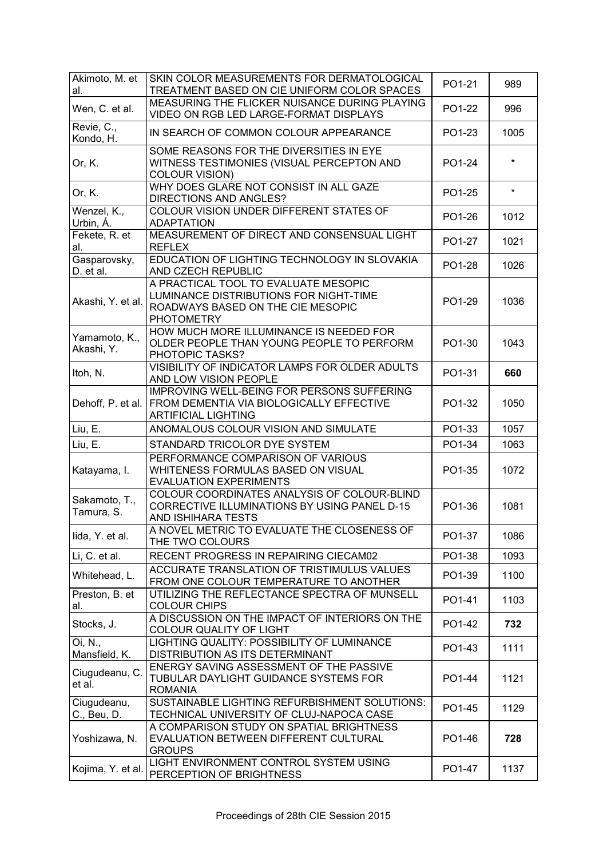| Akimoto, M. et<br>al.       | SKIN COLOR MEASUREMENTS FOR DERMATOLOGICAL<br>TREATMENT BASED ON CIE UNIFORM COLOR SPACES                                                    | PO1-21 | 989     |
|-----------------------------|----------------------------------------------------------------------------------------------------------------------------------------------|--------|---------|
| Wen, C. et al.              | MEASURING THE FLICKER NUISANCE DURING PLAYING<br>VIDEO ON RGB LED LARGE-FORMAT DISPLAYS                                                      | PO1-22 | 996     |
| Revie, C.,<br>Kondo, H.     | IN SEARCH OF COMMON COLOUR APPEARANCE                                                                                                        | PO1-23 | 1005    |
| Or, K.                      | SOME REASONS FOR THE DIVERSITIES IN EYE<br>WITNESS TESTIMONIES (VISUAL PERCEPTON AND<br><b>COLOUR VISION)</b>                                | PO1-24 | $\star$ |
| Or, K.                      | WHY DOES GLARE NOT CONSIST IN ALL GAZE<br>DIRECTIONS AND ANGLES?                                                                             | PO1-25 | $\star$ |
| Wenzel, K.,<br>Urbin, A.    | COLOUR VISION UNDER DIFFERENT STATES OF<br><b>ADAPTATION</b>                                                                                 | PO1-26 | 1012    |
| Fekete, R. et<br>al.        | MEASUREMENT OF DIRECT AND CONSENSUAL LIGHT<br><b>REFLEX</b>                                                                                  | PO1-27 | 1021    |
| Gasparovsky,<br>D. et al.   | EDUCATION OF LIGHTING TECHNOLOGY IN SLOVAKIA<br>AND CZECH REPUBLIC                                                                           | PO1-28 | 1026    |
| Akashi, Y. et al.           | A PRACTICAL TOOL TO EVALUATE MESOPIC<br>LUMINANCE DISTRIBUTIONS FOR NIGHT-TIME<br>ROADWAYS BASED ON THE CIE MESOPIC<br><b>PHOTOMETRY</b>     | PO1-29 | 1036    |
| Yamamoto, K.,<br>Akashi, Y. | HOW MUCH MORE ILLUMINANCE IS NEEDED FOR<br>OLDER PEOPLE THAN YOUNG PEOPLE TO PERFORM<br>PHOTOPIC TASKS?                                      | PO1-30 | 1043    |
| Itoh, N.                    | VISIBILITY OF INDICATOR LAMPS FOR OLDER ADULTS<br>AND LOW VISION PEOPLE                                                                      | PO1-31 | 660     |
| Dehoff, P. et al.           | IMPROVING WELL-BEING FOR PERSONS SUFFERING<br>FROM DEMENTIA VIA BIOLOGICALLY EFFECTIVE<br><b>ARTIFICIAL LIGHTING</b>                         | PO1-32 | 1050    |
| Liu, E.                     | ANOMALOUS COLOUR VISION AND SIMULATE                                                                                                         | PO1-33 | 1057    |
| Liu, E.                     | STANDARD TRICOLOR DYE SYSTEM                                                                                                                 | PO1-34 | 1063    |
| Katayama, I.                | PERFORMANCE COMPARISON OF VARIOUS<br>WHITENESS FORMULAS BASED ON VISUAL<br><b>EVALUATION EXPERIMENTS</b>                                     | PO1-35 | 1072    |
| Sakamoto, T.,<br>Tamura, S. | COLOUR COORDINATES ANALYSIS OF COLOUR-BLIND<br>CORRECTIVE ILLUMINATIONS BY USING PANEL D-15<br>AND ISHIHARA TESTS                            | PO1-36 | 1081    |
| lida, Y. et al.             | A NOVEL METRIC TO EVALUATE THE CLOSENESS OF<br>THE TWO COLOURS                                                                               | PO1-37 | 1086    |
| Li, C. et al.               | RECENT PROGRESS IN REPAIRING CIECAM02                                                                                                        | PO1-38 | 1093    |
| Whitehead, L.               | ACCURATE TRANSLATION OF TRISTIMULUS VALUES<br>FROM ONE COLOUR TEMPERATURE TO ANOTHER                                                         | PO1-39 | 1100    |
| Preston, B. et<br>al.       | UTILIZING THE REFLECTANCE SPECTRA OF MUNSELL                                                                                                 | PO1-41 | 1103    |
| Stocks, J.                  | <b>COLOUR CHIPS</b>                                                                                                                          |        |         |
|                             | A DISCUSSION ON THE IMPACT OF INTERIORS ON THE<br><b>COLOUR QUALITY OF LIGHT</b>                                                             | PO1-42 | 732     |
| Oi, N.,<br>Mansfield, K.    | LIGHTING QUALITY: POSSIBILITY OF LUMINANCE<br>DISTRIBUTION AS ITS DETERMINANT                                                                | PO1-43 | 1111    |
| Ciugudeanu, C.<br>et al.    | ENERGY SAVING ASSESSMENT OF THE PASSIVE<br>TUBULAR DAYLIGHT GUIDANCE SYSTEMS FOR<br><b>ROMANIA</b>                                           | PO1-44 | 1121    |
| Ciugudeanu,<br>C., Beu, D.  | SUSTAINABLE LIGHTING REFURBISHMENT SOLUTIONS:<br>TECHNICAL UNIVERSITY OF CLUJ-NAPOCA CASE                                                    | PO1-45 | 1129    |
| Yoshizawa, N.               | A COMPARISON STUDY ON SPATIAL BRIGHTNESS<br>EVALUATION BETWEEN DIFFERENT CULTURAL<br><b>GROUPS</b><br>LIGHT ENVIRONMENT CONTROL SYSTEM USING | PO1-46 | 728     |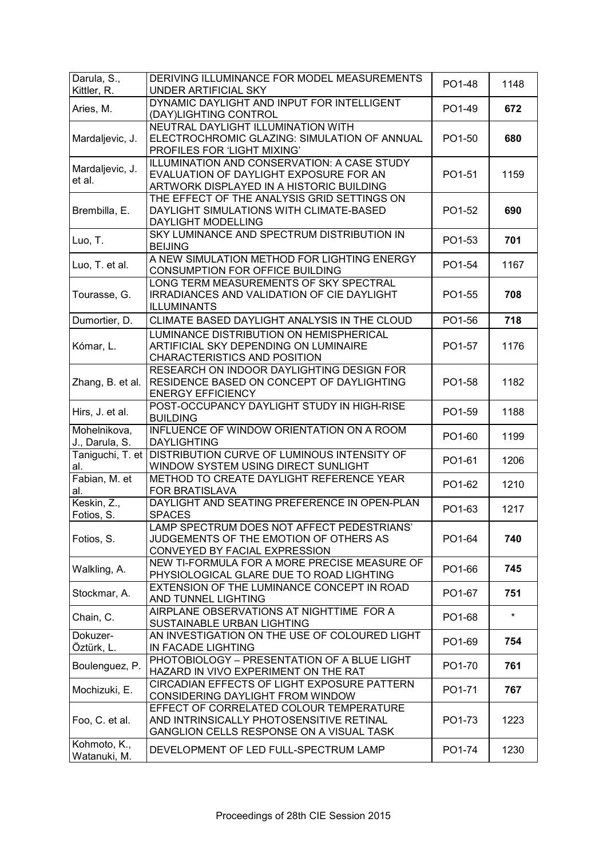| Darula, S.,<br>Kittler, R.     | DERIVING ILLUMINANCE FOR MODEL MEASUREMENTS<br><b>UNDER ARTIFICIAL SKY</b>                                                        | PO1-48 | 1148    |
|--------------------------------|-----------------------------------------------------------------------------------------------------------------------------------|--------|---------|
| Aries, M.                      | DYNAMIC DAYLIGHT AND INPUT FOR INTELLIGENT<br>(DAY)LIGHTING CONTROL                                                               | PO1-49 | 672     |
| Mardaljevic, J.                | NEUTRAL DAYLIGHT ILLUMINATION WITH<br>ELECTROCHROMIC GLAZING: SIMULATION OF ANNUAL<br>PROFILES FOR 'LIGHT MIXING'                 | PO1-50 | 680     |
| Mardaljevic, J.<br>et al.      | ILLUMINATION AND CONSERVATION: A CASE STUDY<br>EVALUATION OF DAYLIGHT EXPOSURE FOR AN<br>ARTWORK DISPLAYED IN A HISTORIC BUILDING | PO1-51 | 1159    |
| Brembilla, E.                  | THE EFFECT OF THE ANALYSIS GRID SETTINGS ON<br>DAYLIGHT SIMULATIONS WITH CLIMATE-BASED<br>DAYLIGHT MODELLING                      | PO1-52 | 690     |
| Luo, T.                        | SKY LUMINANCE AND SPECTRUM DISTRIBUTION IN<br><b>BEIJING</b>                                                                      | PO1-53 | 701     |
| Luo, T. et al.                 | A NEW SIMULATION METHOD FOR LIGHTING ENERGY<br>CONSUMPTION FOR OFFICE BUILDING                                                    | PO1-54 | 1167    |
| Tourasse, G.                   | LONG TERM MEASUREMENTS OF SKY SPECTRAL<br>IRRADIANCES AND VALIDATION OF CIE DAYLIGHT<br><b>ILLUMINANTS</b>                        | PO1-55 | 708     |
| Dumortier, D.                  | CLIMATE BASED DAYLIGHT ANALYSIS IN THE CLOUD                                                                                      | PO1-56 | 718     |
| Kómar, L.                      | LUMINANCE DISTRIBUTION ON HEMISPHERICAL<br>ARTIFICIAL SKY DEPENDING ON LUMINAIRE<br>CHARACTERISTICS AND POSITION                  | PO1-57 | 1176    |
| Zhang, B. et al.               | RESEARCH ON INDOOR DAYLIGHTING DESIGN FOR<br>RESIDENCE BASED ON CONCEPT OF DAYLIGHTING<br><b>ENERGY EFFICIENCY</b>                | PO1-58 | 1182    |
| Hirs, J. et al.                | POST-OCCUPANCY DAYLIGHT STUDY IN HIGH-RISE<br><b>BUILDING</b>                                                                     | PO1-59 | 1188    |
| Mohelnikova,<br>J., Darula, S. | INFLUENCE OF WINDOW ORIENTATION ON A ROOM<br><b>DAYLIGHTING</b>                                                                   | PO1-60 | 1199    |
| Taniguchi, T. et<br>al.        | DISTRIBUTION CURVE OF LUMINOUS INTENSITY OF<br>WINDOW SYSTEM USING DIRECT SUNLIGHT                                                | PO1-61 | 1206    |
| Fabian, M. et<br>al.           | METHOD TO CREATE DAYLIGHT REFERENCE YEAR<br>FOR BRATISLAVA                                                                        | PO1-62 | 1210    |
| Keskin, Z.,<br>Fotios, S.      | DAYLIGHT AND SEATING PREFERENCE IN OPEN-PLAN<br><b>SPACES</b>                                                                     | PO1-63 | 1217    |
| Fotios, S.                     | LAMP SPECTRUM DOES NOT AFFECT PEDESTRIANS'<br>JUDGEMENTS OF THE EMOTION OF OTHERS AS<br>CONVEYED BY FACIAL EXPRESSION             | PO1-64 | 740     |
| Walkling, A.                   | NEW TI-FORMULA FOR A MORE PRECISE MEASURE OF<br>PHYSIOLOGICAL GLARE DUE TO ROAD LIGHTING                                          | PO1-66 | 745     |
| Stockmar, A.                   | EXTENSION OF THE LUMINANCE CONCEPT IN ROAD<br>AND TUNNEL LIGHTING                                                                 | PO1-67 | 751     |
| Chain, C.                      | AIRPLANE OBSERVATIONS AT NIGHTTIME FOR A<br>SUSTAINABLE URBAN LIGHTING                                                            | PO1-68 | $\star$ |
| Dokuzer-<br>Öztürk, L.         | AN INVESTIGATION ON THE USE OF COLOURED LIGHT<br>IN FACADE LIGHTING                                                               | PO1-69 | 754     |
| Boulenguez, P.                 | PHOTOBIOLOGY - PRESENTATION OF A BLUE LIGHT<br>HAZARD IN VIVO EXPERIMENT ON THE RAT                                               | PO1-70 | 761     |
| Mochizuki, E.                  | CIRCADIAN EFFECTS OF LIGHT EXPOSURE PATTERN<br>CONSIDERING DAYLIGHT FROM WINDOW                                                   | PO1-71 | 767     |
| Foo, C. et al.                 | EFFECT OF CORRELATED COLOUR TEMPERATURE<br>AND INTRINSICALLY PHOTOSENSITIVE RETINAL<br>GANGLION CELLS RESPONSE ON A VISUAL TASK   | PO1-73 | 1223    |
| Kohmoto, K.,<br>Watanuki, M.   | DEVELOPMENT OF LED FULL-SPECTRUM LAMP                                                                                             | PO1-74 | 1230    |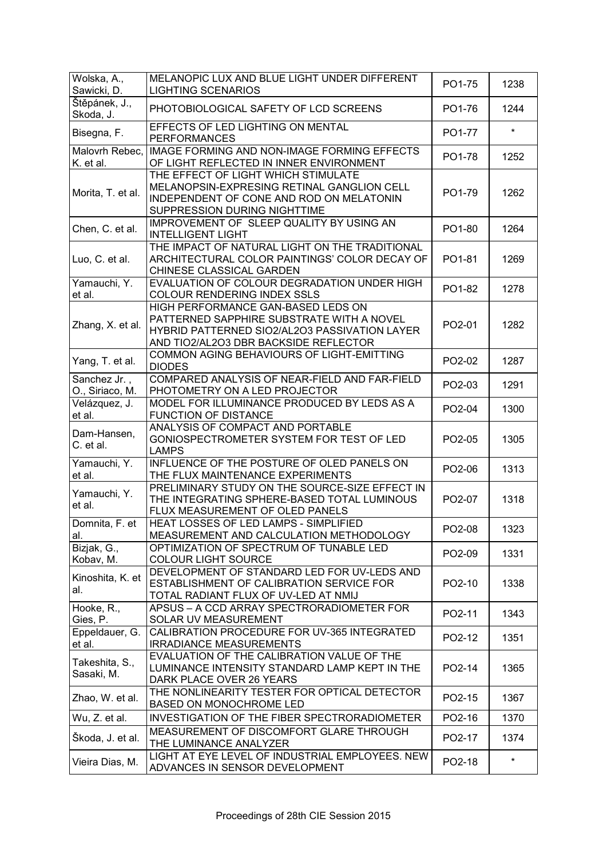| Wolska, A.,<br>Sawicki, D.      | MELANOPIC LUX AND BLUE LIGHT UNDER DIFFERENT<br><b>LIGHTING SCENARIOS</b>                                                                                                 | PO1-75 | 1238    |
|---------------------------------|---------------------------------------------------------------------------------------------------------------------------------------------------------------------------|--------|---------|
| Štěpánek, J.,<br>Skoda, J.      | PHOTOBIOLOGICAL SAFETY OF LCD SCREENS                                                                                                                                     | PO1-76 | 1244    |
| Bisegna, F.                     | EFFECTS OF LED LIGHTING ON MENTAL<br><b>PERFORMANCES</b>                                                                                                                  | PO1-77 | $\star$ |
| Malovrh Rebec,<br>K. et al.     | IMAGE FORMING AND NON-IMAGE FORMING EFFECTS<br>OF LIGHT REFLECTED IN INNER ENVIRONMENT                                                                                    | PO1-78 | 1252    |
| Morita, T. et al.               | THE EFFECT OF LIGHT WHICH STIMULATE<br>MELANOPSIN-EXPRESING RETINAL GANGLION CELL<br>INDEPENDENT OF CONE AND ROD ON MELATONIN<br>SUPPRESSION DURING NIGHTTIME             | PO1-79 | 1262    |
| Chen, C. et al.                 | IMPROVEMENT OF SLEEP QUALITY BY USING AN<br><b>INTELLIGENT LIGHT</b>                                                                                                      | PO1-80 | 1264    |
| Luo, C. et al.                  | THE IMPACT OF NATURAL LIGHT ON THE TRADITIONAL<br>ARCHITECTURAL COLOR PAINTINGS' COLOR DECAY OF<br>CHINESE CLASSICAL GARDEN                                               | PO1-81 | 1269    |
| Yamauchi, Y.<br>et al.          | EVALUATION OF COLOUR DEGRADATION UNDER HIGH<br>COLOUR RENDERING INDEX SSLS                                                                                                | PO1-82 | 1278    |
| Zhang, X. et al.                | HIGH PERFORMANCE GAN-BASED LEDS ON<br>PATTERNED SAPPHIRE SUBSTRATE WITH A NOVEL<br>HYBRID PATTERNED SIO2/AL2O3 PASSIVATION LAYER<br>AND TIO2/AL2O3 DBR BACKSIDE REFLECTOR | PO2-01 | 1282    |
| Yang, T. et al.                 | COMMON AGING BEHAVIOURS OF LIGHT-EMITTING<br><b>DIODES</b>                                                                                                                | PO2-02 | 1287    |
| Sanchez Jr.,<br>O., Siriaco, M. | COMPARED ANALYSIS OF NEAR-FIELD AND FAR-FIELD<br>PHOTOMETRY ON A LED PROJECTOR                                                                                            | PO2-03 | 1291    |
| Velázquez, J.<br>et al.         | MODEL FOR ILLUMINANCE PRODUCED BY LEDS AS A<br><b>FUNCTION OF DISTANCE</b>                                                                                                | PO2-04 | 1300    |
| Dam-Hansen,<br>C. et al.        | ANALYSIS OF COMPACT AND PORTABLE<br>GONIOSPECTROMETER SYSTEM FOR TEST OF LED<br><b>LAMPS</b>                                                                              | PO2-05 | 1305    |
| Yamauchi, Y.<br>et al.          | INFLUENCE OF THE POSTURE OF OLED PANELS ON<br>THE FLUX MAINTENANCE EXPERIMENTS                                                                                            | PO2-06 | 1313    |
| Yamauchi, Y.<br>et al.          | PRELIMINARY STUDY ON THE SOURCE-SIZE EFFECT IN<br>THE INTEGRATING SPHERE-BASED TOTAL LUMINOUS<br>FLUX MEASUREMENT OF OLED PANELS                                          | PO2-07 | 1318    |
| Domnita, F. et<br>al.           | HEAT LOSSES OF LED LAMPS - SIMPLIFIED<br>MEASUREMENT AND CALCULATION METHODOLOGY                                                                                          | PO2-08 | 1323    |
| Bizjak, G.,<br>Kobav, M.        | OPTIMIZATION OF SPECTRUM OF TUNABLE LED<br><b>COLOUR LIGHT SOURCE</b>                                                                                                     | PO2-09 | 1331    |
| Kinoshita, K. et<br>al.         | DEVELOPMENT OF STANDARD LED FOR UV-LEDS AND<br>ESTABLISHMENT OF CALIBRATION SERVICE FOR<br>TOTAL RADIANT FLUX OF UV-LED AT NMIJ                                           | PO2-10 | 1338    |
| Hooke, R.,<br>Gies, P.          | APSUS - A CCD ARRAY SPECTRORADIOMETER FOR<br>SOLAR UV MEASUREMENT                                                                                                         | PO2-11 | 1343    |
| Eppeldauer, G.<br>et al.        | CALIBRATION PROCEDURE FOR UV-365 INTEGRATED<br><b>IRRADIANCE MEASUREMENTS</b>                                                                                             | PO2-12 | 1351    |
| Takeshita, S.,<br>Sasaki, M.    | EVALUATION OF THE CALIBRATION VALUE OF THE<br>LUMINANCE INTENSITY STANDARD LAMP KEPT IN THE<br>DARK PLACE OVER 26 YEARS                                                   | PO2-14 | 1365    |
| Zhao, W. et al.                 | THE NONLINEARITY TESTER FOR OPTICAL DETECTOR<br>BASED ON MONOCHROME LED                                                                                                   | PO2-15 | 1367    |
| Wu, Z. et al.                   | INVESTIGATION OF THE FIBER SPECTRORADIOMETER                                                                                                                              | PO2-16 | 1370    |
| Škoda, J. et al.                | MEASUREMENT OF DISCOMFORT GLARE THROUGH<br>THE LUMINANCE ANALYZER                                                                                                         | PO2-17 | 1374    |
| Vieira Dias, M.                 | LIGHT AT EYE LEVEL OF INDUSTRIAL EMPLOYEES. NEW<br>ADVANCES IN SENSOR DEVELOPMENT                                                                                         | PO2-18 | $\star$ |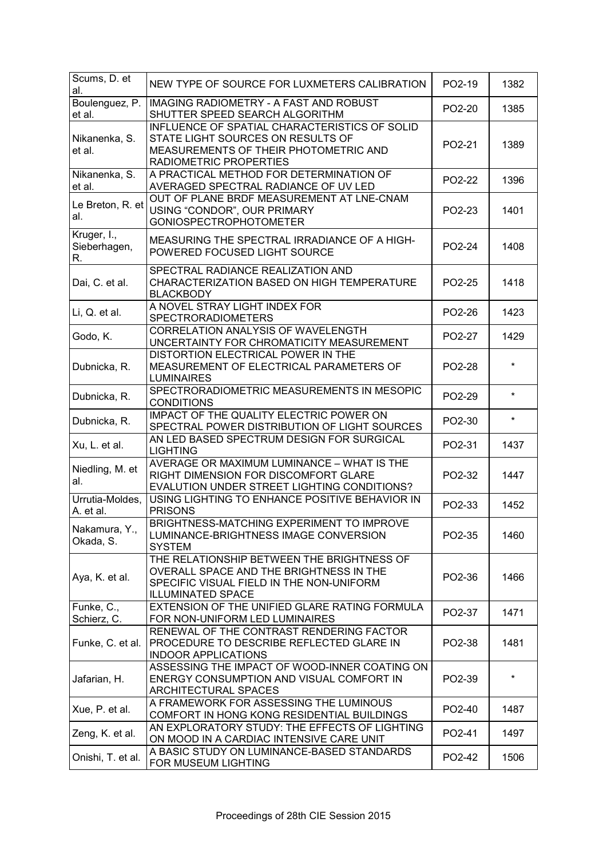| Scums, D. et<br>al.               | NEW TYPE OF SOURCE FOR LUXMETERS CALIBRATION                                                                                                                  | PO2-19 | 1382    |
|-----------------------------------|---------------------------------------------------------------------------------------------------------------------------------------------------------------|--------|---------|
| Boulenguez, P.<br>et al.          | <b>IMAGING RADIOMETRY - A FAST AND ROBUST</b><br>SHUTTER SPEED SEARCH ALGORITHM                                                                               | PO2-20 | 1385    |
| Nikanenka, S.<br>et al.           | INFLUENCE OF SPATIAL CHARACTERISTICS OF SOLID<br>STATE LIGHT SOURCES ON RESULTS OF<br>MEASUREMENTS OF THEIR PHOTOMETRIC AND<br>RADIOMETRIC PROPERTIES         | PO2-21 | 1389    |
| Nikanenka, S.<br>et al.           | A PRACTICAL METHOD FOR DETERMINATION OF<br>AVERAGED SPECTRAL RADIANCE OF UV LED                                                                               | PO2-22 | 1396    |
| Le Breton, R. et<br>al.           | OUT OF PLANE BRDF MEASUREMENT AT LNE-CNAM<br>USING "CONDOR", OUR PRIMARY<br><b>GONIOSPECTROPHOTOMETER</b>                                                     | PO2-23 | 1401    |
| Kruger, I.,<br>Sieberhagen,<br>R. | MEASURING THE SPECTRAL IRRADIANCE OF A HIGH-<br>POWERED FOCUSED LIGHT SOURCE                                                                                  | PO2-24 | 1408    |
| Dai, C. et al.                    | SPECTRAL RADIANCE REALIZATION AND<br>CHARACTERIZATION BASED ON HIGH TEMPERATURE<br><b>BLACKBODY</b>                                                           | PO2-25 | 1418    |
| Li, Q. et al.                     | A NOVEL STRAY LIGHT INDEX FOR<br><b>SPECTRORADIOMETERS</b>                                                                                                    | PO2-26 | 1423    |
| Godo, K.                          | CORRELATION ANALYSIS OF WAVELENGTH<br>UNCERTAINTY FOR CHROMATICITY MEASUREMENT                                                                                | PO2-27 | 1429    |
| Dubnicka, R.                      | DISTORTION ELECTRICAL POWER IN THE<br>MEASUREMENT OF ELECTRICAL PARAMETERS OF<br><b>LUMINAIRES</b>                                                            | PO2-28 | *       |
| Dubnicka, R.                      | SPECTRORADIOMETRIC MEASUREMENTS IN MESOPIC<br><b>CONDITIONS</b>                                                                                               | PO2-29 | $\star$ |
| Dubnicka, R.                      | IMPACT OF THE QUALITY ELECTRIC POWER ON<br>SPECTRAL POWER DISTRIBUTION OF LIGHT SOURCES                                                                       | PO2-30 | $\star$ |
| Xu, L. et al.                     | AN LED BASED SPECTRUM DESIGN FOR SURGICAL<br><b>LIGHTING</b>                                                                                                  | PO2-31 | 1437    |
| Niedling, M. et<br>al.            | AVERAGE OR MAXIMUM LUMINANCE - WHAT IS THE<br>RIGHT DIMENSION FOR DISCOMFORT GLARE<br>EVALUTION UNDER STREET LIGHTING CONDITIONS?                             | PO2-32 | 1447    |
| Urrutia-Moldes,<br>A. et al.      | USING LIGHTING TO ENHANCE POSITIVE BEHAVIOR IN<br><b>PRISONS</b>                                                                                              | PO2-33 | 1452    |
| Nakamura, Y.,<br>Okada, S.        | BRIGHTNESS-MATCHING EXPERIMENT TO IMPROVE<br>LUMINANCE-BRIGHTNESS IMAGE CONVERSION<br><b>SYSTEM</b>                                                           | PO2-35 | 1460    |
| Aya, K. et al.                    | THE RELATIONSHIP BETWEEN THE BRIGHTNESS OF<br>OVERALL SPACE AND THE BRIGHTNESS IN THE<br>SPECIFIC VISUAL FIELD IN THE NON-UNIFORM<br><b>ILLUMINATED SPACE</b> | PO2-36 | 1466    |
| Funke, C.,<br>Schierz, C.         | EXTENSION OF THE UNIFIED GLARE RATING FORMULA<br>FOR NON-UNIFORM LED LUMINAIRES                                                                               | PO2-37 | 1471    |
| Funke, C. et al.                  | RENEWAL OF THE CONTRAST RENDERING FACTOR<br>PROCEDURE TO DESCRIBE REFLECTED GLARE IN<br><b>INDOOR APPLICATIONS</b>                                            | PO2-38 | 1481    |
| Jafarian, H.                      | ASSESSING THE IMPACT OF WOOD-INNER COATING ON<br>ENERGY CONSUMPTION AND VISUAL COMFORT IN<br>ARCHITECTURAL SPACES                                             | PO2-39 | $\star$ |
| Xue, P. et al.                    | A FRAMEWORK FOR ASSESSING THE LUMINOUS<br>COMFORT IN HONG KONG RESIDENTIAL BUILDINGS                                                                          | PO2-40 | 1487    |
| Zeng, K. et al.                   | AN EXPLORATORY STUDY: THE EFFECTS OF LIGHTING<br>ON MOOD IN A CARDIAC INTENSIVE CARE UNIT                                                                     | PO2-41 | 1497    |
| Onishi, T. et al.                 | A BASIC STUDY ON LUMINANCE-BASED STANDARDS<br>FOR MUSEUM LIGHTING                                                                                             | PO2-42 | 1506    |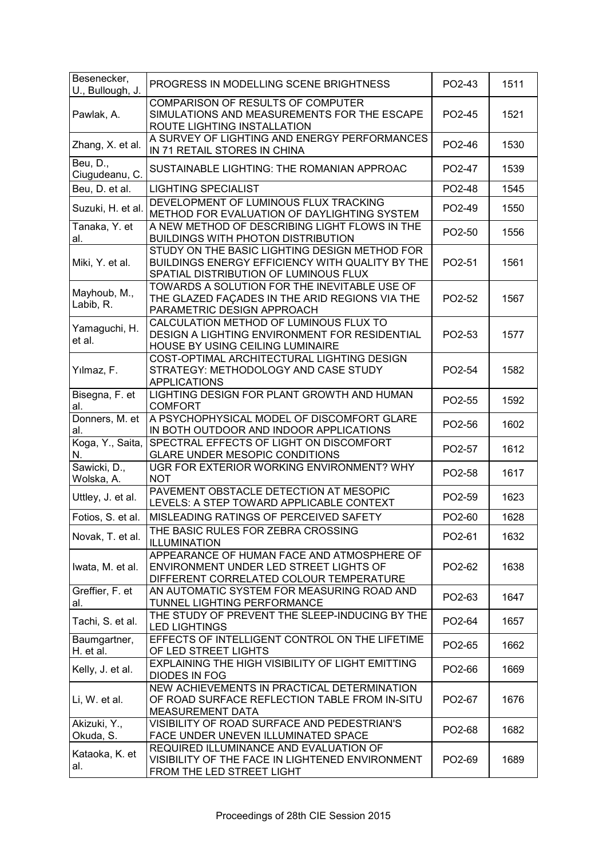| Besenecker,<br>U., Bullough, J.         | PROGRESS IN MODELLING SCENE BRIGHTNESS                                                                                                    | PO2-43 | 1511 |
|-----------------------------------------|-------------------------------------------------------------------------------------------------------------------------------------------|--------|------|
| Pawlak, A.                              | <b>COMPARISON OF RESULTS OF COMPUTER</b><br>SIMULATIONS AND MEASUREMENTS FOR THE ESCAPE<br>ROUTE LIGHTING INSTALLATION                    | PO2-45 | 1521 |
| Zhang, X. et al.                        | A SURVEY OF LIGHTING AND ENERGY PERFORMANCES<br>IN 71 RETAIL STORES IN CHINA                                                              | PO2-46 | 1530 |
| Beu, $D.\overline{,}$<br>Ciugudeanu, C. | SUSTAINABLE LIGHTING: THE ROMANIAN APPROAC                                                                                                | PO2-47 | 1539 |
| Beu, D. et al.                          | <b>LIGHTING SPECIALIST</b>                                                                                                                | PO2-48 | 1545 |
| Suzuki, H. et al.                       | DEVELOPMENT OF LUMINOUS FLUX TRACKING<br>METHOD FOR EVALUATION OF DAYLIGHTING SYSTEM                                                      | PO2-49 | 1550 |
| Tanaka, Y. et<br>al.                    | A NEW METHOD OF DESCRIBING LIGHT FLOWS IN THE<br><b>BUILDINGS WITH PHOTON DISTRIBUTION</b>                                                | PO2-50 | 1556 |
| Miki, Y. et al.                         | STUDY ON THE BASIC LIGHTING DESIGN METHOD FOR<br>BUILDINGS ENERGY EFFICIENCY WITH QUALITY BY THE<br>SPATIAL DISTRIBUTION OF LUMINOUS FLUX | PO2-51 | 1561 |
| Mayhoub, M.,<br>Labib, R.               | TOWARDS A SOLUTION FOR THE INEVITABLE USE OF<br>THE GLAZED FAÇADES IN THE ARID REGIONS VIA THE<br>PARAMETRIC DESIGN APPROACH              | PO2-52 | 1567 |
| Yamaguchi, H.<br>et al.                 | CALCULATION METHOD OF LUMINOUS FLUX TO<br>DESIGN A LIGHTING ENVIRONMENT FOR RESIDENTIAL<br>HOUSE BY USING CEILING LUMINAIRE               | PO2-53 | 1577 |
| Yılmaz, F.                              | COST-OPTIMAL ARCHITECTURAL LIGHTING DESIGN<br>STRATEGY: METHODOLOGY AND CASE STUDY<br><b>APPLICATIONS</b>                                 | PO2-54 | 1582 |
| Bisegna, F. et<br>al.                   | LIGHTING DESIGN FOR PLANT GROWTH AND HUMAN<br><b>COMFORT</b>                                                                              | PO2-55 | 1592 |
| Donners, M. et<br>al.                   | A PSYCHOPHYSICAL MODEL OF DISCOMFORT GLARE<br>IN BOTH OUTDOOR AND INDOOR APPLICATIONS                                                     | PO2-56 | 1602 |
| Koga, Y., Saita,<br>N.                  | SPECTRAL EFFECTS OF LIGHT ON DISCOMFORT<br><b>GLARE UNDER MESOPIC CONDITIONS</b>                                                          | PO2-57 | 1612 |
| Sawicki, D.,<br>Wolska, A.              | UGR FOR EXTERIOR WORKING ENVIRONMENT? WHY<br><b>NOT</b>                                                                                   | PO2-58 | 1617 |
| Uttley, J. et al.                       | PAVEMENT OBSTACLE DETECTION AT MESOPIC<br>LEVELS: A STEP TOWARD APPLICABLE CONTEXT                                                        | PO2-59 | 1623 |
| Fotios, S. et al.                       | MISLEADING RATINGS OF PERCEIVED SAFETY                                                                                                    | PO2-60 | 1628 |
| Novak, T. et al.                        | THE BASIC RULES FOR ZEBRA CROSSING<br>ILLUMINATION                                                                                        | PO2-61 | 1632 |
| Iwata, M. et al.                        | APPEARANCE OF HUMAN FACE AND ATMOSPHERE OF<br>ENVIRONMENT UNDER LED STREET LIGHTS OF<br>DIFFERENT CORRELATED COLOUR TEMPERATURE           | PO2-62 | 1638 |
| Greffier, F. et<br>al.                  | AN AUTOMATIC SYSTEM FOR MEASURING ROAD AND<br>TUNNEL LIGHTING PERFORMANCE                                                                 | PO2-63 | 1647 |
| Tachi, S. et al.                        | THE STUDY OF PREVENT THE SLEEP-INDUCING BY THE<br><b>LED LIGHTINGS</b>                                                                    | PO2-64 | 1657 |
| Baumgartner,<br>H. et al.               | EFFECTS OF INTELLIGENT CONTROL ON THE LIFETIME<br>OF LED STREET LIGHTS                                                                    | PO2-65 | 1662 |
| Kelly, J. et al.                        | EXPLAINING THE HIGH VISIBILITY OF LIGHT EMITTING<br><b>DIODES IN FOG</b>                                                                  | PO2-66 | 1669 |
| Li, W. et al.                           | NEW ACHIEVEMENTS IN PRACTICAL DETERMINATION<br>OF ROAD SURFACE REFLECTION TABLE FROM IN-SITU<br>MEASUREMENT DATA                          | PO2-67 | 1676 |
| Akizuki, Y.,<br>Okuda, S.               | VISIBILITY OF ROAD SURFACE AND PEDESTRIAN'S<br>FACE UNDER UNEVEN ILLUMINATED SPACE                                                        | PO2-68 | 1682 |
| Kataoka, K. et<br>al.                   | REQUIRED ILLUMINANCE AND EVALUATION OF<br>VISIBILITY OF THE FACE IN LIGHTENED ENVIRONMENT<br>FROM THE LED STREET LIGHT                    | PO2-69 | 1689 |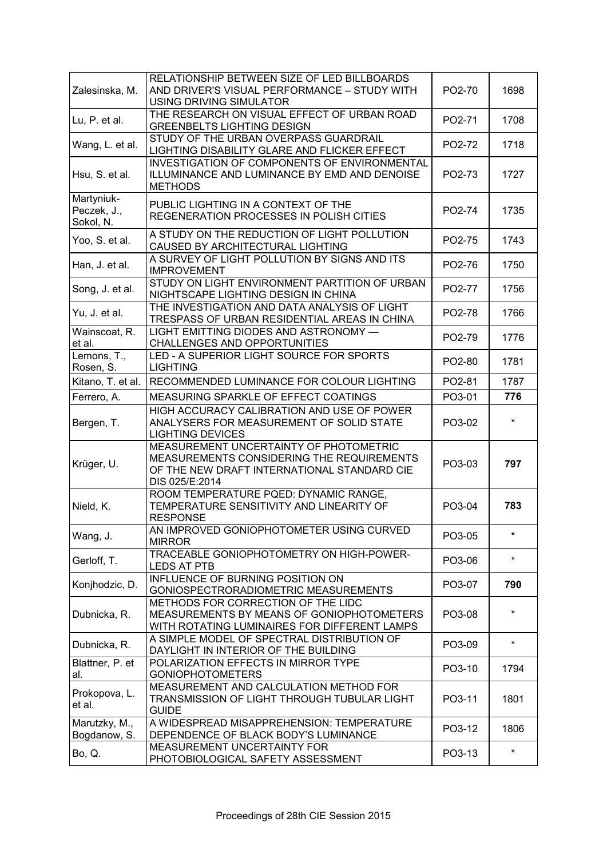| Zalesinska, M.                         | RELATIONSHIP BETWEEN SIZE OF LED BILLBOARDS<br>AND DRIVER'S VISUAL PERFORMANCE - STUDY WITH<br>USING DRIVING SIMULATOR                               | PO2-70 | 1698    |
|----------------------------------------|------------------------------------------------------------------------------------------------------------------------------------------------------|--------|---------|
| Lu, P. et al.                          | THE RESEARCH ON VISUAL EFFECT OF URBAN ROAD<br><b>GREENBELTS LIGHTING DESIGN</b>                                                                     | PO2-71 | 1708    |
| Wang, L. et al.                        | STUDY OF THE URBAN OVERPASS GUARDRAIL<br>LIGHTING DISABILITY GLARE AND FLICKER EFFECT                                                                | PO2-72 | 1718    |
| Hsu, S. et al.                         | INVESTIGATION OF COMPONENTS OF ENVIRONMENTAL<br>ILLUMINANCE AND LUMINANCE BY EMD AND DENOISE<br><b>METHODS</b>                                       | PO2-73 | 1727    |
| Martyniuk-<br>Peczek, J.,<br>Sokol, N. | PUBLIC LIGHTING IN A CONTEXT OF THE<br>REGENERATION PROCESSES IN POLISH CITIES                                                                       | PO2-74 | 1735    |
| Yoo, S. et al.                         | A STUDY ON THE REDUCTION OF LIGHT POLLUTION<br>CAUSED BY ARCHITECTURAL LIGHTING                                                                      | PO2-75 | 1743    |
| Han, J. et al.                         | A SURVEY OF LIGHT POLLUTION BY SIGNS AND ITS<br><b>IMPROVEMENT</b>                                                                                   | PO2-76 | 1750    |
| Song, J. et al.                        | STUDY ON LIGHT ENVIRONMENT PARTITION OF URBAN<br>NIGHTSCAPE LIGHTING DESIGN IN CHINA                                                                 | PO2-77 | 1756    |
| Yu, J. et al.                          | THE INVESTIGATION AND DATA ANALYSIS OF LIGHT<br>TRESPASS OF URBAN RESIDENTIAL AREAS IN CHINA                                                         | PO2-78 | 1766    |
| Wainscoat, R.<br>et al.                | LIGHT EMITTING DIODES AND ASTRONOMY -<br><b>CHALLENGES AND OPPORTUNITIES</b>                                                                         | PO2-79 | 1776    |
| Lemons, T.,<br>Rosen, S.               | LED - A SUPERIOR LIGHT SOURCE FOR SPORTS<br><b>LIGHTING</b>                                                                                          | PO2-80 | 1781    |
| Kitano, T. et al.                      | RECOMMENDED LUMINANCE FOR COLOUR LIGHTING                                                                                                            | PO2-81 | 1787    |
| Ferrero, A.                            | MEASURING SPARKLE OF EFFECT COATINGS                                                                                                                 | PO3-01 | 776     |
| Bergen, T.                             | HIGH ACCURACY CALIBRATION AND USE OF POWER<br>ANALYSERS FOR MEASUREMENT OF SOLID STATE<br><b>LIGHTING DEVICES</b>                                    | PO3-02 |         |
| Krüger, U.                             | MEASUREMENT UNCERTAINTY OF PHOTOMETRIC<br>MEASUREMENTS CONSIDERING THE REQUIREMENTS<br>OF THE NEW DRAFT INTERNATIONAL STANDARD CIE<br>DIS 025/E:2014 | PO3-03 | 797     |
| Nield, K.                              | ROOM TEMPERATURE PQED: DYNAMIC RANGE,<br>TEMPERATURE SENSITIVITY AND LINEARITY OF<br><b>RESPONSE</b>                                                 | PO3-04 | 783     |
| Wang, J.                               | AN IMPROVED GONIOPHOTOMETER USING CURVED<br><b>MIRROR</b>                                                                                            | PO3-05 | $\star$ |
| Gerloff, T.                            | TRACEABLE GONIOPHOTOMETRY ON HIGH-POWER-<br><b>LEDS AT PTB</b>                                                                                       | PO3-06 | $\star$ |
| Konjhodzic, D.                         | INFLUENCE OF BURNING POSITION ON<br>GONIOSPECTRORADIOMETRIC MEASUREMENTS                                                                             | PO3-07 | 790     |
| Dubnicka, R.                           | METHODS FOR CORRECTION OF THE LIDC<br>MEASUREMENTS BY MEANS OF GONIOPHOTOMETERS<br>WITH ROTATING LUMINAIRES FOR DIFFERENT LAMPS                      | PO3-08 | $\star$ |
| Dubnicka, R.                           | A SIMPLE MODEL OF SPECTRAL DISTRIBUTION OF<br>DAYLIGHT IN INTERIOR OF THE BUILDING                                                                   | PO3-09 | $\star$ |
| Blattner, P. et<br>al.                 | POLARIZATION EFFECTS IN MIRROR TYPE<br><b>GONIOPHOTOMETERS</b>                                                                                       | PO3-10 | 1794    |
| Prokopova, L.<br>et al.                | MEASUREMENT AND CALCULATION METHOD FOR<br>TRANSMISSION OF LIGHT THROUGH TUBULAR LIGHT<br><b>GUIDE</b>                                                | PO3-11 | 1801    |
| Marutzky, M.,<br>Bogdanow, S.          | A WIDESPREAD MISAPPREHENSION: TEMPERATURE<br>DEPENDENCE OF BLACK BODY'S LUMINANCE                                                                    | PO3-12 | 1806    |
| Bo, Q.                                 | MEASUREMENT UNCERTAINTY FOR<br>PHOTOBIOLOGICAL SAFETY ASSESSMENT                                                                                     | PO3-13 | $\star$ |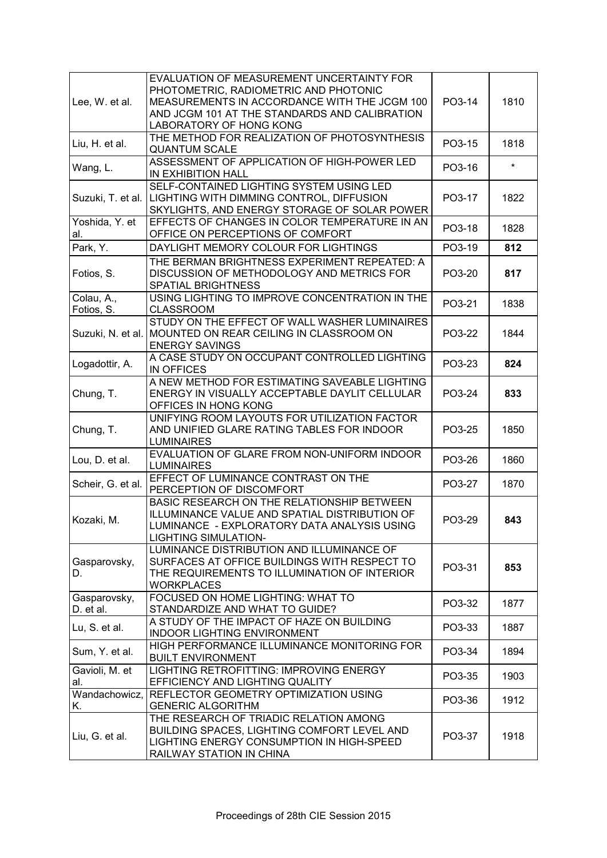| Lee, W. et al.            | EVALUATION OF MEASUREMENT UNCERTAINTY FOR<br>PHOTOMETRIC, RADIOMETRIC AND PHOTONIC<br>MEASUREMENTS IN ACCORDANCE WITH THE JCGM 100<br>AND JCGM 101 AT THE STANDARDS AND CALIBRATION<br>LABORATORY OF HONG KONG | PO3-14 | 1810    |
|---------------------------|----------------------------------------------------------------------------------------------------------------------------------------------------------------------------------------------------------------|--------|---------|
| Liu, H. et al.            | THE METHOD FOR REALIZATION OF PHOTOSYNTHESIS<br><b>QUANTUM SCALE</b>                                                                                                                                           | PO3-15 | 1818    |
| Wang, L.                  | ASSESSMENT OF APPLICATION OF HIGH-POWER LED<br>IN EXHIBITION HALL                                                                                                                                              | PO3-16 | $\star$ |
| Suzuki, T. et al.         | SELF-CONTAINED LIGHTING SYSTEM USING LED<br>LIGHTING WITH DIMMING CONTROL, DIFFUSION<br>SKYLIGHTS, AND ENERGY STORAGE OF SOLAR POWER                                                                           | PO3-17 | 1822    |
| Yoshida, Y. et<br>al.     | EFFECTS OF CHANGES IN COLOR TEMPERATURE IN AN<br>OFFICE ON PERCEPTIONS OF COMFORT                                                                                                                              | PO3-18 | 1828    |
| Park, Y.                  | DAYLIGHT MEMORY COLOUR FOR LIGHTINGS                                                                                                                                                                           | PO3-19 | 812     |
| Fotios, S.                | THE BERMAN BRIGHTNESS EXPERIMENT REPEATED: A<br>DISCUSSION OF METHODOLOGY AND METRICS FOR<br>SPATIAL BRIGHTNESS                                                                                                | PO3-20 | 817     |
| Colau, A.,<br>Fotios, S.  | USING LIGHTING TO IMPROVE CONCENTRATION IN THE<br><b>CLASSROOM</b>                                                                                                                                             | PO3-21 | 1838    |
| Suzuki, N. et al.         | STUDY ON THE EFFECT OF WALL WASHER LUMINAIRES<br>MOUNTED ON REAR CEILING IN CLASSROOM ON<br><b>ENERGY SAVINGS</b>                                                                                              | PO3-22 | 1844    |
| Logadottir, A.            | A CASE STUDY ON OCCUPANT CONTROLLED LIGHTING<br><b>IN OFFICES</b>                                                                                                                                              | PO3-23 | 824     |
| Chung, T.                 | A NEW METHOD FOR ESTIMATING SAVEABLE LIGHTING<br>ENERGY IN VISUALLY ACCEPTABLE DAYLIT CELLULAR<br>OFFICES IN HONG KONG                                                                                         | PO3-24 | 833     |
| Chung, T.                 | UNIFYING ROOM LAYOUTS FOR UTILIZATION FACTOR<br>AND UNIFIED GLARE RATING TABLES FOR INDOOR<br><b>LUMINAIRES</b>                                                                                                | PO3-25 | 1850    |
| Lou, D. et al.            | EVALUATION OF GLARE FROM NON-UNIFORM INDOOR<br><b>LUMINAIRES</b>                                                                                                                                               | PO3-26 | 1860    |
| Scheir, G. et al.         | EFFECT OF LUMINANCE CONTRAST ON THE<br>PERCEPTION OF DISCOMFORT                                                                                                                                                | PO3-27 | 1870    |
| Kozaki, M.                | BASIC RESEARCH ON THE RELATIONSHIP BETWEEN<br>ILLUMINANCE VALUE AND SPATIAL DISTRIBUTION OF<br>LUMINANCE - EXPLORATORY DATA ANALYSIS USING<br><b>LIGHTING SIMULATION-</b>                                      | PO3-29 | 843     |
| Gasparovsky,<br>D.        | LUMINANCE DISTRIBUTION AND ILLUMINANCE OF<br>SURFACES AT OFFICE BUILDINGS WITH RESPECT TO<br>THE REQUIREMENTS TO ILLUMINATION OF INTERIOR<br><b>WORKPLACES</b>                                                 | PO3-31 | 853     |
| Gasparovsky,<br>D. et al. | FOCUSED ON HOME LIGHTING: WHAT TO<br>STANDARDIZE AND WHAT TO GUIDE?                                                                                                                                            | PO3-32 | 1877    |
| Lu, S. et al.             | A STUDY OF THE IMPACT OF HAZE ON BUILDING<br><b>INDOOR LIGHTING ENVIRONMENT</b>                                                                                                                                | PO3-33 | 1887    |
| Sum, Y. et al.            | HIGH PERFORMANCE ILLUMINANCE MONITORING FOR<br><b>BUILT ENVIRONMENT</b>                                                                                                                                        | PO3-34 | 1894    |
| Gavioli, M. et<br>al.     | LIGHTING RETROFITTING: IMPROVING ENERGY<br>EFFICIENCY AND LIGHTING QUALITY                                                                                                                                     | PO3-35 | 1903    |
| Wandachowicz,<br>Κ.       | REFLECTOR GEOMETRY OPTIMIZATION USING<br><b>GENERIC ALGORITHM</b>                                                                                                                                              | PO3-36 | 1912    |
| Liu, G. et al.            | THE RESEARCH OF TRIADIC RELATION AMONG<br>BUILDING SPACES, LIGHTING COMFORT LEVEL AND<br>LIGHTING ENERGY CONSUMPTION IN HIGH-SPEED<br>RAILWAY STATION IN CHINA                                                 | PO3-37 | 1918    |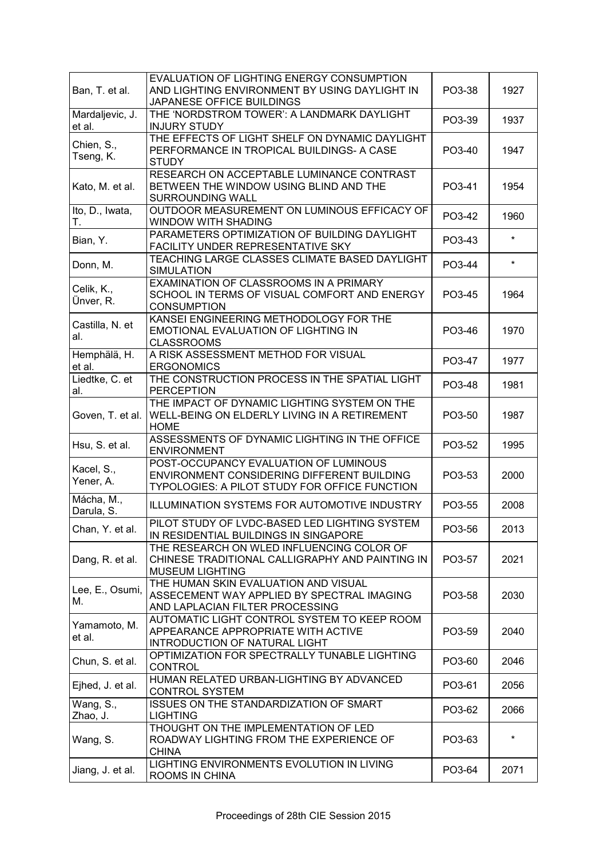| Ban, T. et al.            | EVALUATION OF LIGHTING ENERGY CONSUMPTION<br>AND LIGHTING ENVIRONMENT BY USING DAYLIGHT IN<br>JAPANESE OFFICE BUILDINGS              | PO3-38 | 1927    |
|---------------------------|--------------------------------------------------------------------------------------------------------------------------------------|--------|---------|
| Mardaljevic, J.<br>et al. | THE 'NORDSTROM TOWER': A LANDMARK DAYLIGHT<br><b>INJURY STUDY</b>                                                                    | PO3-39 | 1937    |
| Chien, S.,<br>Tseng, K.   | THE EFFECTS OF LIGHT SHELF ON DYNAMIC DAYLIGHT<br>PERFORMANCE IN TROPICAL BUILDINGS- A CASE<br><b>STUDY</b>                          | PO3-40 | 1947    |
| Kato, M. et al.           | RESEARCH ON ACCEPTABLE LUMINANCE CONTRAST<br>BETWEEN THE WINDOW USING BLIND AND THE<br><b>SURROUNDING WALL</b>                       | PO3-41 | 1954    |
| Ito, D., Iwata,<br>Т.     | OUTDOOR MEASUREMENT ON LUMINOUS EFFICACY OF<br>WINDOW WITH SHADING                                                                   | PO3-42 | 1960    |
| Bian, Y.                  | PARAMETERS OPTIMIZATION OF BUILDING DAYLIGHT<br>FACILITY UNDER REPRESENTATIVE SKY                                                    | PO3-43 | $\star$ |
| Donn, M.                  | TEACHING LARGE CLASSES CLIMATE BASED DAYLIGHT<br><b>SIMULATION</b>                                                                   | PO3-44 | $\star$ |
| Celik, K.,<br>Ünver, R.   | EXAMINATION OF CLASSROOMS IN A PRIMARY<br>SCHOOL IN TERMS OF VISUAL COMFORT AND ENERGY<br><b>CONSUMPTION</b>                         | PO3-45 | 1964    |
| Castilla, N. et<br>al.    | KANSEI ENGINEERING METHODOLOGY FOR THE<br>EMOTIONAL EVALUATION OF LIGHTING IN<br><b>CLASSROOMS</b>                                   | PO3-46 | 1970    |
| Hemphälä, H.<br>et al.    | A RISK ASSESSMENT METHOD FOR VISUAL<br><b>ERGONOMICS</b>                                                                             | PO3-47 | 1977    |
| Liedtke, C. et<br>al.     | THE CONSTRUCTION PROCESS IN THE SPATIAL LIGHT<br><b>PERCEPTION</b>                                                                   | PO3-48 | 1981    |
| Goven, T. et al.          | THE IMPACT OF DYNAMIC LIGHTING SYSTEM ON THE<br>WELL-BEING ON ELDERLY LIVING IN A RETIREMENT<br><b>HOME</b>                          | PO3-50 | 1987    |
| Hsu, S. et al.            | ASSESSMENTS OF DYNAMIC LIGHTING IN THE OFFICE<br><b>ENVIRONMENT</b>                                                                  | PO3-52 | 1995    |
| Kacel, S.,<br>Yener, A.   | POST-OCCUPANCY EVALUATION OF LUMINOUS<br>ENVIRONMENT CONSIDERING DIFFERENT BUILDING<br>TYPOLOGIES: A PILOT STUDY FOR OFFICE FUNCTION | PO3-53 | 2000    |
| Mácha, M.,<br>Darula, S.  | <b>ILLUMINATION SYSTEMS FOR AUTOMOTIVE INDUSTRY</b>                                                                                  | PO3-55 | 2008    |
| Chan, Y. et al.           | PILOT STUDY OF LVDC-BASED LED LIGHTING SYSTEM<br>IN RESIDENTIAL BUILDINGS IN SINGAPORE                                               | PO3-56 | 2013    |
| Dang, R. et al.           | THE RESEARCH ON WLED INFLUENCING COLOR OF<br>CHINESE TRADITIONAL CALLIGRAPHY AND PAINTING IN<br><b>MUSEUM LIGHTING</b>               | PO3-57 | 2021    |
| Lee, E., Osumi,<br>М.     | THE HUMAN SKIN EVALUATION AND VISUAL<br>ASSECEMENT WAY APPLIED BY SPECTRAL IMAGING<br>AND LAPLACIAN FILTER PROCESSING                | PO3-58 | 2030    |
| Yamamoto, M.<br>et al.    | AUTOMATIC LIGHT CONTROL SYSTEM TO KEEP ROOM<br>APPEARANCE APPROPRIATE WITH ACTIVE<br>INTRODUCTION OF NATURAL LIGHT                   | PO3-59 | 2040    |
| Chun, S. et al.           | OPTIMIZATION FOR SPECTRALLY TUNABLE LIGHTING<br><b>CONTROL</b>                                                                       | PO3-60 | 2046    |
| Ejhed, J. et al.          | HUMAN RELATED URBAN-LIGHTING BY ADVANCED<br><b>CONTROL SYSTEM</b>                                                                    | PO3-61 | 2056    |
| Wang, S.,<br>Zhao, J.     | ISSUES ON THE STANDARDIZATION OF SMART<br><b>LIGHTING</b>                                                                            | PO3-62 | 2066    |
| Wang, S.                  | THOUGHT ON THE IMPLEMENTATION OF LED<br>ROADWAY LIGHTING FROM THE EXPERIENCE OF<br><b>CHINA</b>                                      | PO3-63 | $\star$ |
| Jiang, J. et al.          | LIGHTING ENVIRONMENTS EVOLUTION IN LIVING<br>ROOMS IN CHINA                                                                          | PO3-64 | 2071    |